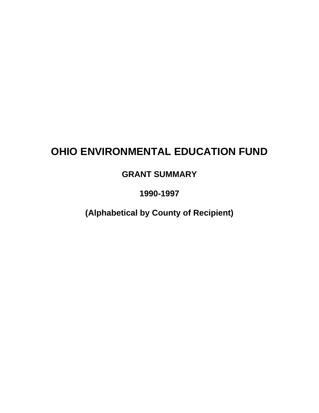## **OHIO ENVIRONMENTAL EDUCATION FUND**

**GRANT SUMMARY**

**1990-1997**

**(Alphabetical by County of Recipient)**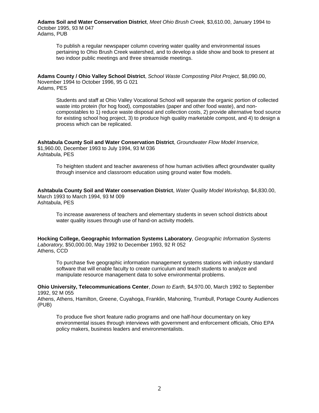**Adams Soil and Water Conservation District**, *Meet Ohio Brush Creek,* \$3,610.00, January 1994 to October 1995, 93 M 047 Adams, PUB

To publish a regular newspaper column covering water quality and environmental issues pertaining to Ohio Brush Creek watershed, and to develop a slide show and book to present at two indoor public meetings and three streamside meetings.

**Adams County / Ohio Valley School District**, *School Waste Composting Pilot Project,* \$8,090.00, November 1994 to October 1996, 95 G 021 Adams, PES

Students and staff at Ohio Valley Vocational School will separate the organic portion of collected waste into protein (for hog food), compostables (paper and other food waste), and noncompostables to 1) reduce waste disposal and collection costs, 2) provide alternative food source for existing school hog project, 3) to produce high quality marketable compost, and 4) to design a process which can be replicated.

**Ashtabula County Soil and Water Conservation District**, *Groundwater Flow Model Inservice,* \$1,960.00, December 1993 to July 1994, 93 M 036 Ashtabula, PES

To heighten student and teacher awareness of how human activities affect groundwater quality through inservice and classroom education using ground water flow models.

**Ashtabula County Soil and Water conservation District**, *Water Quality Model Workshop,* \$4,830.00, March 1993 to March 1994, 93 M 009 Ashtabula, PES

To increase awareness of teachers and elementary students in seven school districts about water quality issues through use of hand-on activity models.

**Hocking College, Geographic Information Systems Laboratory**, *Geographic Information Systems Laboratory,* \$50,000.00, May 1992 to December 1993, 92 R 052 Athens, CCD

To purchase five geographic information management systems stations with industry standard software that will enable faculty to create curriculum and teach students to analyze and manipulate resource management data to solve environmental problems.

**Ohio University, Telecommunications Center**, *Down to Earth,* \$4,970.00, March 1992 to September 1992, 92 M 055

Athens, Athens, Hamilton, Greene, Cuyahoga, Franklin, Mahoning, Trumbull, Portage County Audiences (PUB)

To produce five short feature radio programs and one half-hour documentary on key environmental issues through interviews with government and enforcement officials, Ohio EPA policy makers, business leaders and environmentalists.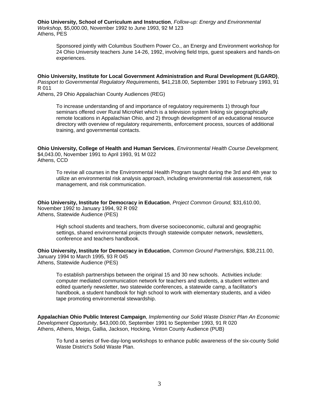**Ohio University, School of Curriculum and Instruction**, *Follow-up: Energy and Environmental Workshop,* \$5,000.00, November 1992 to June 1993, 92 M 123 Athens, PES

Sponsored jointly with Columbus Southern Power Co., an Energy and Environment workshop for 24 Ohio University teachers June 14-26, 1992, involving field trips, guest speakers and hands-on experiences.

**Ohio University, Institute for Local Government Administration and Rural Development (ILGARD)**, *Passport to Governmental Regulatory Requirements,* \$41,218.00, September 1991 to February 1993, 91 R 011

Athens, 29 Ohio Appalachian County Audiences (REG)

To increase understanding of and importance of regulatory requirements 1) through four seminars offered over Rural MicroNet which is a television system linking six geographically remote locations in Appalachian Ohio, and 2) through development of an educational resource directory with overview of regulatory requirements, enforcement process, sources of additional training, and governmental contacts.

**Ohio University, College of Health and Human Services**, *Environmental Health Course Development,* \$4,043.00, November 1991 to April 1993, 91 M 022 Athens, CCD

To revise all courses in the Environmental Health Program taught during the 3rd and 4th year to utilize an environmental risk analysis approach, including environmental risk assessment, risk management, and risk communication.

**Ohio University, Institute for Democracy in Education**, *Project Common Ground,* \$31,610.00, November 1992 to January 1994, 92 R 092 Athens, Statewide Audience (PES)

High school students and teachers, from diverse socioeconomic, cultural and geographic settings, shared environmental projects through statewide computer network, newsletters, conference and teachers handbook.

**Ohio University, Institute for Democracy in Education**, *Common Ground Partnerships,* \$38,211.00, January 1994 to March 1995, 93 R 045 Athens, Statewide Audience (PES)

To establish partnerships between the original 15 and 30 new schools. Activities include: computer mediated communication network for teachers and students, a student written and edited quarterly newsletter, two statewide conferences, a statewide camp, a facilitator's handbook, a student handbook for high school to work with elementary students, and a video tape promoting environmental stewardship.

**Appalachian Ohio Public Interest Campaign**, *Implementing our Solid Waste District Plan An Economic Development Opportunity,* \$43,000.00, September 1991 to September 1993, 91 R 020 Athens, Athens, Meigs, Gallia, Jackson, Hocking, Vinton County Audience (PUB)

To fund a series of five-day-long workshops to enhance public awareness of the six-county Solid Waste District's Solid Waste Plan.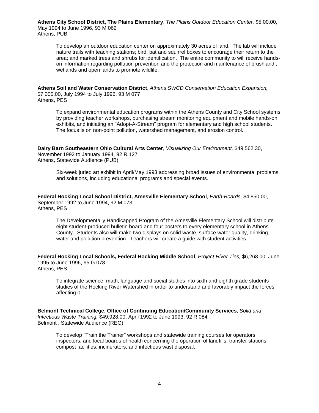**Athens City School District, The Plains Elementary**, *The Plains Outdoor Education Center,* \$5,00.00, May 1994 to June 1996, 93 M 062 Athens, PUB

To develop an outdoor education center on approximately 30 acres of land. The lab will include nature trails with teaching stations; bird, bat and squirrel boxes to encourage their return to the area; and marked trees and shrubs for identification. The entire community to will receive handson information regarding pollution prevention and the protection and maintenance of brushland , wetlands and open lands to promote wildlife.

**Athens Soil and Water Conservation District**, *Athens SWCD Conservation Education Expansion,* \$7,000.00, July 1994 to July 1996, 93 M 077 Athens, PES

To expand environmental education programs within the Athens County and City School systems by providing teacher workshops, purchasing stream monitoring equipment and mobile hands-on exhibits, and initiating an "Adopt-A-Stream" program for elementary and high school students. The focus is on non-point pollution, watershed management, and erosion control.

**Dairy Barn Southeastern Ohio Cultural Arts Center**, *Visualizing Our Environment,* \$49,562.30, November 1992 to January 1994, 92 R 127 Athens, Statewide Audience (PUB)

Six-week juried art exhibit in April/May 1993 addressing broad issues of environmental problems and solutions, including educational programs and special events.

**Federal Hocking Local School District, Amesville Elementary School**, *Earth-Boards,* \$4,850.00, September 1992 to June 1994, 92 M 073 Athens, PES

The Developmentally Handicapped Program of the Amesville Elementary School will distribute eight student-produced bulletin board and four posters to every elementary school in Athens County. Students also will make two displays on solid waste, surface water quality, drinking water and pollution prevention. Teachers will create a guide with student activities.

**Federal Hocking Local Schools, Federal Hocking Middle School**, *Project River Ties,* \$6,268.00, June 1995 to June 1996, 95 G 078 Athens, PES

To integrate science, math, language and social studies into sixth and eighth grade students studies of the Hocking River Watershed in order to understand and favorably impact the forces affecting it.

**Belmont Technical College, Office of Continuing Education/Community Services**, *Solid and Infectious Waste Training,* \$49,928.00, April 1992 to June 1993, 92 R 084 Belmont , Statewide Audience (REG)

To develop "Train the Trainer" workshops and statewide training courses for operators, inspectors, and local boards of health concerning the operation of landfills, transfer stations, compost facilities, incinerators, and infectious wast disposal.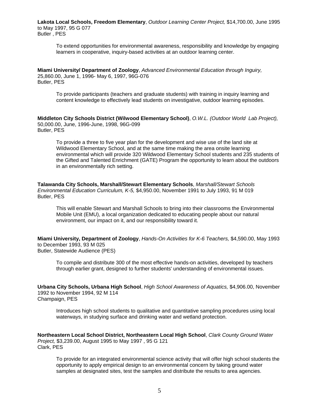**Lakota Local Schools, Freedom Elementary**, *Outdoor Learning Center Project,* \$14,700.00, June 1995 to May 1997, 95 G 077 Butler , PES

To extend opportunities for environmental awareness, responsibility and knowledge by engaging learners in cooperative, inquiry-based activities at an outdoor learning center.

**Miami University/ Department of Zoology**, *Advanced Environmental Education through Inguiry,* 25,860.00, June 1, 1996- May 6, 1997, 96G-076 Butler, PES

To provide participants (teachers and graduate students) with training in inquiry learning and content knowledge to effectively lead students on investigative, outdoor learning episodes.

**Middleton City Schools District (Wilwood Elementary School)**, *O.W.L. (Outdoor World Lab Project),* 50,000.00, June, 1996-June, 1998, 96G-099 Butler, PES

To provide a three to five year plan for the development and wise use of the land site at Wildwood Elementary School, and at the same time making the area onsite learning environmental which will provide 320 Wildwood Elementary School students and 235 students of the Gifted and Talented Enrichment (GATE) Program the opportunity to learn about the outdoors in an environmentally rich setting.

**Talawanda City Schools, Marshall/Stewart Elementary Schools**, *Marshall/Stewart Schools Environmental Education Curriculum, K-5,* \$4,950.00, November 1991 to July 1993, 91 M 019 Butler, PES

This will enable Stewart and Marshall Schools to bring into their classrooms the Environmental Mobile Unit (EMU), a local organization dedicated to educating people about our natural environment, our impact on it, and our responsibility toward it.

**Miami University, Department of Zoology**, *Hands-On Activities for K-6 Teachers,* \$4,590.00, May 1993 to December 1993, 93 M 025 Butler, Statewide Audience (PES)

To compile and distribute 300 of the most effective hands-on activities, developed by teachers through earlier grant, designed to further students' understanding of environmental issues.

**Urbana City Schools, Urbana High School**, *High School Awareness of Aquatics,* \$4,906.00, November 1992 to November 1994, 92 M 114 Champaign, PES

Introduces high school students to qualitative and quantitative sampling procedures using local waterways, in studying surface and drinking water and wetland protection.

**Northeastern Local School District, Northeastern Local High School**, *Clark County Ground Water Project,* \$3,239.00, August 1995 to May 1997 , 95 G 121 Clark, PES

To provide for an integrated environmental science activity that will offer high school students the opportunity to apply empirical design to an environmental concern by taking ground water samples at designated sites, test the samples and distribute the results to area agencies.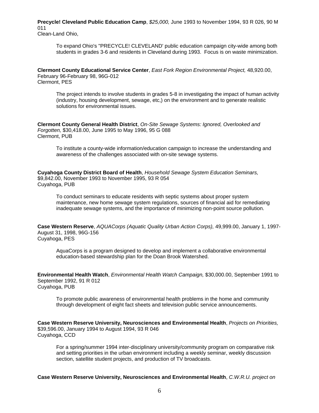**Precycle! Cleveland Public Education Camp**, *\$25,000,* June 1993 to November 1994, 93 R 026, 90 M 011 Clean-Land Ohio,

To expand Ohio's "PRECYCLE! CLEVELAND' public education campaign city-wide among both students in grades 3-6 and residents in Cleveland during 1993. Focus is on waste minimization.

**Clermont County Educational Service Center**, *East Fork Region Environmental Project,* 48,920.00, February 96-February 98, 96G-012 Clermont, PES

The project intends to involve students in grades 5-8 in investigating the impact of human activity (industry, housing development, sewage, etc,) on the environment and to generate realistic solutions for environmental issues.

**Clermont County General Health District**, *On-Site Sewage Systems: Ignored, Overlooked and Forgotten,* \$30,418.00, June 1995 to May 1996, 95 G 088 Clermont, PUB

To institute a county-wide information/education campaign to increase the understanding and awareness of the challenges associated with on-site sewage systems.

**Cuyahoga County District Board of Health**, *Household Sewage System Education Seminars,* \$9,842.00, November 1993 to November 1995, 93 R 054 Cuyahoga, PUB

To conduct seminars to educate residents with septic systems about proper system maintenance, new home sewage system regulations, sources of financial aid for remediating inadequate sewage systems, and the importance of minimizing non-point source pollution.

**Case Western Reserve**, *AQUACorps (Aquatic Quality Urban Action Corps),* 49,999.00, January 1, 1997- August 31, 1998, 96G-156 Cuyahoga, PES

AquaCorps is a program designed to develop and implement a collaborative environmental education-based stewardship plan for the Doan Brook Watershed.

**Environmental Health Watch**, *Environmental Health Watch Campaign,* \$30,000.00, September 1991 to September 1992, 91 R 012 Cuyahoga, PUB

To promote public awareness of environmental health problems in the home and community through development of eight fact sheets and television public service announcements.

**Case Western Reserve University, Neurosciences and Environmental Health**, *Projects on Priorities,* \$39,596.00, January 1994 to August 1994, 93 R 046 Cuyahoga, CCD

For a spring/summer 1994 inter-disciplinary university/community program on comparative risk and setting priorities in the urban environment including a weekly seminar, weekly discussion section, satellite student projects, and production of TV broadcasts.

**Case Western Reserve University, Neurosciences and Environmental Health**, *C.W.R.U. project on*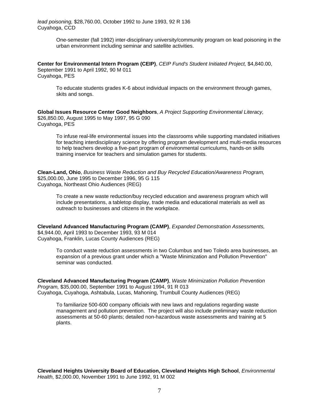One-semester (fall 1992) inter-disciplinary university/community program on lead poisoning in the urban environment including seminar and satellite activities.

**Center for Environmental Intern Program (CEIP)**, *CEIP Fund's Student Initiated Project,* \$4,840.00, September 1991 to April 1992, 90 M 011 Cuyahoga, PES

To educate students grades K-6 about individual impacts on the environment through games, skits and songs.

**Global Issues Resource Center Good Neighbors**, *A Project Supporting Environmental Literacy,* \$26,850.00, August 1995 to May 1997, 95 G 090 Cuyahoga, PES

To infuse real-life environmental issues into the classrooms while supporting mandated initiatives for teaching interdisciplinary science by offering program development and multi-media resources to help teachers develop a five-part program of environmental curriculums, hands-on skills training inservice for teachers and simulation games for students.

**Clean-Land, Ohio**, *Business Waste Reduction and Buy Recycled Education/Awareness Program,* \$25,000.00, June 1995 to December 1996, 95 G 115 Cuyahoga, Northeast Ohio Audiences (REG)

To create a new waste reduction/buy recycled education and awareness program which will include presentations, a tabletop display, trade media and educational materials as well as outreach to businesses and citizens in the workplace.

**Cleveland Advanced Manufacturing Program (CAMP)**, *Expanded Demonstration Assessments,* \$4,944.00, April 1993 to December 1993, 93 M 014 Cuyahoga, Franklin, Lucas County Audiences (REG)

To conduct waste reduction assessments in two Columbus and two Toledo area businesses, an expansion of a previous grant under which a "Waste Minimization and Pollution Prevention" seminar was conducted.

**Cleveland Advanced Manufacturing Program (CAMP)**, *Waste Minimization Pollution Prevention Program,* \$35,000.00, September 1991 to August 1994, 91 R 013 Cuyahoga, Cuyahoga, Ashtabula, Lucas, Mahoning, Trumbull County Audiences (REG)

To familiarize 500-600 company officials with new laws and regulations regarding waste management and pollution prevention. The project will also include preliminary waste reduction assessments at 50-60 plants; detailed non-hazardous waste assessments and training at 5 plants.

**Cleveland Heights University Board of Education, Cleveland Heights High School**, *Environmental Health,* \$2,000.00, November 1991 to June 1992, 91 M 002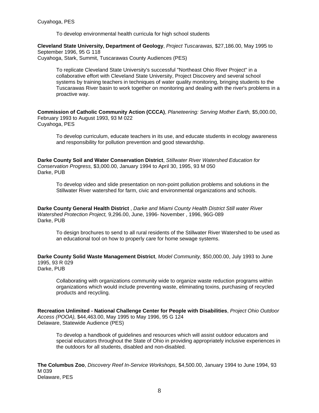To develop environmental health curricula for high school students

**Cleveland State University, Department of Geology**, *Project Tuscarawas,* \$27,186.00, May 1995 to September 1996, 95 G 118 Cuyahoga, Stark, Summit, Tuscarawas County Audiences (PES)

To replicate Cleveland State University's successful "Northeast Ohio River Project" in a collaborative effort with Cleveland State University, Project Discovery and several school systems by training teachers in techniques of water quality monitoring, bringing students to the Tuscarawas River basin to work together on monitoring and dealing with the river's problems in a proactive way.

**Commission of Catholic Community Action (CCCA)**, *Planeteering: Serving Mother Earth,* \$5,000.00, February 1993 to August 1993, 93 M 022 Cuyahoga, PES

To develop curriculum, educate teachers in its use, and educate students in ecology awareness and responsibility for pollution prevention and good stewardship.

**Darke County Soil and Water Conservation District**, *Stillwater River Watershed Education for Conservation Progress,* \$3,000.00, January 1994 to April 30, 1995, 93 M 050 Darke, PUB

To develop video and slide presentation on non-point pollution problems and solutions in the Stillwater River watershed for farm, civic and environmental organizations and schools.

**Darke County General Health District** , *Darke and Miami County Health District Still water River Watershed Protection Project,* 9,296.00, June, 1996- November , 1996, 96G-089 Darke, PUB

To design brochures to send to all rural residents of the Stillwater River Watershed to be used as an educational tool on how to properly care for home sewage systems.

**Darke County Solid Waste Management District**, *Model Community,* \$50,000.00, July 1993 to June 1995, 93 R 029 Darke, PUB

Collaborating with organizations community wide to organize waste reduction programs within organizations which would include preventing waste, eliminating toxins, purchasing of recycled products and recycling.

**Recreation Unlimited - National Challenge Center for People with Disabilities**, *Project Ohio Outdoor Access (POOA),* \$44,463.00, May 1995 to May 1996, 95 G 124 Delaware, Statewide Audience (PES)

To develop a handbook of guidelines and resources which will assist outdoor educators and special educators throughout the State of Ohio in providing appropriately inclusive experiences in the outdoors for all students, disabled and non-disabled.

**The Columbus Zoo**, *Discovery Reef In-Service Workshops,* \$4,500.00, January 1994 to June 1994, 93 M 039 Delaware, PES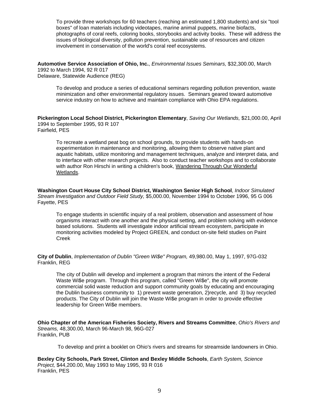To provide three workshops for 60 teachers (reaching an estimated 1,800 students) and six "tool boxes" of loan materials including videotapes, marine animal puppets, marine biofacts, photographs of coral reefs, coloring books, storybooks and activity books. These will address the issues of biological diversity, pollution prevention, sustainable use of resources and citizen involvement in conservation of the world's coral reef ecosystems.

**Automotive Service Association of Ohio, Inc.**, *Environmental Issues Seminars,* \$32,300.00, March 1992 to March 1994, 92 R 017 Delaware, Statewide Audience (REG)

To develop and produce a series of educational seminars regarding pollution prevention, waste minimization and other environmental regulatory issues. Seminars geared toward automotive service industry on how to achieve and maintain compliance with Ohio EPA regulations.

**Pickerington Local School District, Pickerington Elementary**, *Saving Our Wetlands,* \$21,000.00, April 1994 to September 1995, 93 R 107 Fairfield, PES

To recreate a wetland peat bog on school grounds, to provide students with hands-on experimentation in maintenance and monitoring, allowing them to observe native plant and aquatic habitats, utilize monitoring and management techniques, analyze and interpret data, and to interface with other research projects. Also to conduct teacher workshops and to collaborate with author Ron Hirschi in writing a children's book, Wandering Through Our Wonderful Wetlands.

**Washington Court House City School District, Washington Senior High School**, *Indoor Simulated Stream Investigation and Outdoor Field Study,* \$5,000.00, November 1994 to October 1996, 95 G 006 Fayette, PES

To engage students in scientific inquiry of a real problem, observation and assessment of how organisms interact with one another and the physical setting, and problem solving with evidence based solutions. Students will investigate indoor artificial stream ecosystem, participate in monitoring activities modeled by Project GREEN, and conduct on-site field studies on Paint Creek

**City of Dublin**, *Implementation of Dublin "Green Wi\$e" Program,* 49,980.00, May 1, 1997, 97G-032 Franklin, REG

The city of Dublin will develop and implement a program that mirrors the intent of the Federal Waste Wi\$e program. Through this program, called "Green Wi\$e", the city will promote commercial solid waste reduction and support community goals by educating and encouraging the Dublin business community to 1) prevent waste generation, 2)recycle, and 3) buy recycled products. The City of Dublin will join the Waste Wi\$e program in order to provide effective leadership for Green Wi\$e members.

**Ohio Chapter of the American Fisheries Society, Rivers and Streams Committee**, *Ohio's Rivers and Streams,* 48,300.00, March 96-March 98, 96G-027 Franklin, PUB

To develop and print a booklet on Ohio's rivers and streams for streamside landowners in Ohio.

**Bexley City Schools, Park Street, Clinton and Bexley Middle Schools**, *Earth System, Science Project,* \$44,200.00, May 1993 to May 1995, 93 R 016 Franklin, PES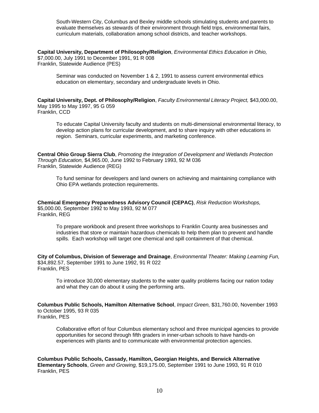South-Western City, Columbus and Bexley middle schools stimulating students and parents to evaluate themselves as stewards of their environment through field trips, environmental fairs, curriculum materials, collaboration among school districts, and teacher workshops.

**Capital University, Department of Philosophy/Religion**, *Environmental Ethics Education in Ohio,* \$7,000.00, July 1991 to December 1991, 91 R 008 Franklin, Statewide Audience (PES)

Seminar was conducted on November 1 & 2, 1991 to assess current environmental ethics education on elementary, secondary and undergraduate levels in Ohio.

**Capital University, Dept. of Philosophy/Religion**, *Faculty Environmental Literacy Project,* \$43,000.00, May 1995 to May 1997, 95 G 059 Franklin, CCD

To educate Capital University faculty and students on multi-dimensional environmental literacy, to develop action plans for curricular development, and to share inquiry with other educations in region. Seminars, curricular experiments, and marketing conference.

**Central Ohio Group Sierra Club**, *Promoting the Integration of Development and Wetlands Protection Through Education,* \$4,965.00, June 1992 to February 1993, 92 M 036 Franklin, Statewide Audience (REG)

To fund seminar for developers and land owners on achieving and maintaining compliance with Ohio EPA wetlands protection requirements.

**Chemical Emergency Preparedness Advisory Council (CEPAC)**, *Risk Reduction Workshops,* \$5,000.00, September 1992 to May 1993, 92 M 077 Franklin, REG

To prepare workbook and present three workshops to Franklin County area businesses and industries that store or maintain hazardous chemicals to help them plan to prevent and handle spills. Each workshop will target one chemical and spill containment of that chemical.

**City of Columbus, Division of Sewerage and Drainage**, *Environmental Theater: Making Learning Fun,* \$34,892.57, September 1991 to June 1992, 91 R 022 Franklin, PES

To introduce 30,000 elementary students to the water quality problems facing our nation today and what they can do about it using the performing arts.

**Columbus Public Schools, Hamilton Alternative School**, *Impact Green,* \$31,760.00, November 1993 to October 1995, 93 R 035 Franklin, PES

Collaborative effort of four Columbus elementary school and three municipal agencies to provide opportunities for second through fifth graders in inner-urban schools to have hands-on experiences with plants and to communicate with environmental protection agencies.

**Columbus Public Schools, Cassady, Hamilton, Georgian Heights, and Berwick Alternative Elementary Schools**, *Green and Growing,* \$19,175.00, September 1991 to June 1993, 91 R 010 Franklin, PES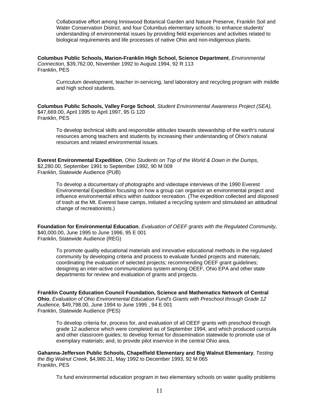Collaborative effort among Inniswood Botanical Garden and Nature Preserve, Franklin Soil and Water Conservation District, and four Columbus elementary schools; to enhance students' understanding of environmental issues by providing field experiences and activities related to biological requirements and life processes of native Ohio and non-indigenous plants.

**Columbus Public Schools, Marion-Franklin High School, Science Department**, *Environmental Connection,* \$39,762.00, November 1992 to August 1994, 92 R 113 Franklin, PES

Curriculum development, teacher in-servicing, land laboratory and recycling program with middle and high school students.

**Columbus Public Schools, Valley Forge School**, *Student Environmental Awareness Project (SEA),* \$47,669.00, April 1995 to April 1997, 95 G 120 Franklin, PES

To develop technical skills and responsible attitudes towards stewardship of the earth's natural resources among teachers and students by increasing their understanding of Ohio's natural resources and related environmental issues.

**Everest Environmental Expedition**, *Ohio Students on Top of the World & Down in the Dumps,* \$2,280.00, September 1991 to September 1992, 90 M 009 Franklin, Statewide Audience (PUB)

To develop a documentary of photographs and videotape interviews of the 1990 Everest Environmental Expedition focusing on how a group can organize an environmental project and influence environmental ethics within outdoor recreation. (The expedition collected and disposed of trash at the Mt. Everest base camps, initiated a recycling system and stimulated an attitudinal change of recreationists.)

**Foundation for Environmental Education**, *Evaluation of OEEF grants with the Regulated Community,* \$40,000.00, June 1995 to June 1996, 95 E 001 Franklin, Statewide Audience (REG)

To promote quality educational materials and innovative educational methods in the regulated community by developing criteria and process to evaluate funded projects and materials; coordinating the evaluation of selected projects; recommending OEEF grant guidelines; designing an inter-active communications system among OEEF, Ohio EPA and other state departments for review and evaluation of grants and projects.

**Franklin County Education Council Foundation, Science and Mathematics Network of Central Ohio**, *Evaluation of Ohio Environmental Education Fund's Grants with Preschool through Grade 12 Audience,* \$49,798.00, June 1994 to June 1995 , 94 E 001 Franklin, Statewide Audience (PES)

To develop criteria for, process for, and evaluation of all OEEF grants with preschool through grade 12 audience which were completed as of September 1994, and which produced curricula and other classroom guides; to develop format for dissemination statewide to promote use of exemplary materials; and, to provide pilot inservice in the central Ohio area.

**Gahanna-Jefferson Public Schools, Chapelfield Elementary and Big Walnut Elementary**, *Testing the Big Walnut Creek,* \$4,980.31, May 1992 to December 1993, 92 M 065 Franklin, PES

To fund environmental education program in two elementary schools on water quality problems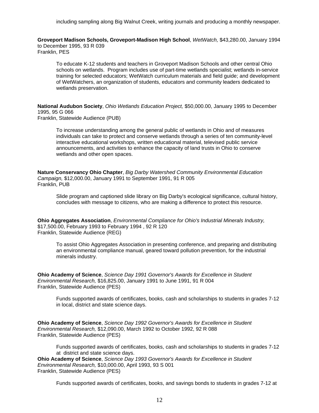including sampling along Big Walnut Creek, writing journals and producing a monthly newspaper.

**Groveport Madison Schools, Groveport-Madison High School**, *WetWatch,* \$43,280.00, January 1994 to December 1995, 93 R 039 Franklin, PES

To educate K-12 students and teachers in Groveport Madison Schools and other central Ohio schools on wetlands. Program includes use of part-time wetlands specialist; wetlands in-service training for selected educators; WetWatch curriculum materials and field guide; and development of WetWatchers, an organization of students, educators and community leaders dedicated to wetlands preservation.

**National Audubon Society**, *Ohio Wetlands Education Project,* \$50,000.00, January 1995 to December 1995, 95 G 066 Franklin, Statewide Audience (PUB)

To increase understanding among the general public of wetlands in Ohio and of measures individuals can take to protect and conserve wetlands through a series of ten community-level interactive educational workshops, written educational material, televised public service announcements, and activities to enhance the capacity of land trusts in Ohio to conserve wetlands and other open spaces.

**Nature Conservancy Ohio Chapter**, *Big Darby Watershed Community Environmental Education Campaign,* \$12,000.00, January 1991 to September 1991, 91 R 005 Franklin, PUB

Slide program and captioned slide library on Big Darby's ecological significance, cultural history, concludes with message to citizens, who are making a difference to protect this resource.

**Ohio Aggregates Association**, *Environmental Compliance for Ohio's Industrial Minerals Industry,* \$17,500.00, February 1993 to February 1994 , 92 R 120 Franklin, Statewide Audience (REG)

To assist Ohio Aggregates Association in presenting conference, and preparing and distributing an environmental compliance manual, geared toward pollution prevention, for the industrial minerals industry.

**Ohio Academy of Science**, *Science Day 1991 Governor's Awards for Excellence in Student Environmental Research,* \$16,825.00, January 1991 to June 1991, 91 R 004 Franklin, Statewide Audience (PES)

Funds supported awards of certificates, books, cash and scholarships to students in grades 7-12 in local, district and state science days.

**Ohio Academy of Science**, *Science Day 1992 Governor's Awards for Excellence in Student Environmental Research,* \$12,090.00, March 1992 to October 1992, 92 R 088 Franklin, Statewide Audience (PES)

Funds supported awards of certificates, books, cash and scholarships to students in grades 7-12 at district and state science days.

**Ohio Academy of Science**, *Science Day 1993 Governor's Awards for Excellence in Student Environmental Research,* \$10,000.00, April 1993, 93 S 001 Franklin, Statewide Audience (PES)

Funds supported awards of certificates, books, and savings bonds to students in grades 7-12 at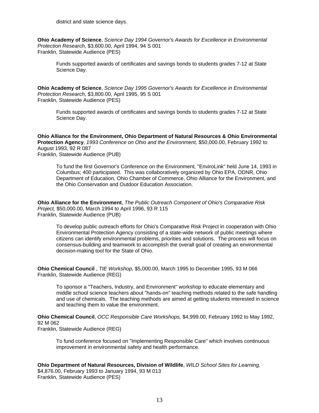**Ohio Academy of Science**, *Science Day 1994 Governor's Awards for Excellence in Environmental Protection Research,* \$3,600.00, April 1994, 94 S 001 Franklin, Statewide Audience (PES)

Funds supported awards of certificates and savings bonds to students grades 7-12 at State Science Day.

**Ohio Academy of Science**, *Science Day 1995 Governor's Awards for Excellence in Environmental Protection Research,* \$3,800.00, April 1995, 95 S 001 Franklin, Statewide Audience (PES)

Funds supported awards of certificates and savings bonds to students grades 7-12 at State Science Day.

**Ohio Alliance for the Environment, Ohio Department of Natural Resources & Ohio Environmental Protection Agency**, *1993 Conference on Ohio and the Environment,* \$50,000.00, February 1992 to August 1993, 92 R 087 Franklin, Statewide Audience (PUB)

To fund the first Governor's Conference on the Environment, "EnviroLink" held June 14, 1993 in Columbus; 400 participated. This was collaboratively organized by Ohio EPA, ODNR, Ohio Department of Education, Ohio Chamber of Commerce, Ohio Alliance for the Environment, and the Ohio Conservation and Outdoor Education Association.

**Ohio Alliance for the Environment**, *The Public Outreach Component of Ohio's Comparative Risk Project,* \$50,000.00, March 1994 to April 1996, 93 R 115 Franklin, Statewide Audience (PUB)

To develop public outreach efforts for Ohio's Comparative Risk Project in cooperation with Ohio Environmental Protection Agency consisting of a state-wide network of public meetings where citizens can identify environmental problems, priorities and solutions. The process will focus on consensus-building and teamwork to accomplish the overall goal of creating an environmental decision-making tool for the State of Ohio.

**Ohio Chemical Council** , *TIE Workshop,* \$5,000.00, March 1995 to December 1995, 93 M 066 Franklin, Statewide Audience (REG)

To sponsor a "Teachers, Industry, and Environment" workshop to educate elementary and middle school science teachers about "hands-on" teaching methods related to the safe handling and use of chemicals. The teaching methods are aimed at getting students interested in science and teaching them to value the environment.

**Ohio Chemical Council**, *OCC Responsible Care Workshops,* \$4,999.00, February 1992 to May 1992, 92 M 062

Franklin, Statewide Audience (REG)

To fund conference focused on "Implementing Responsible Care" which involves continuous improvement in environmental safety and health performance.

**Ohio Department of Natural Resources, Division of Wildlife**, *WILD School Sites for Learning,* \$4,876.00, February 1993 to January 1994, 93 M 013 Franklin, Statewide Audience (PES)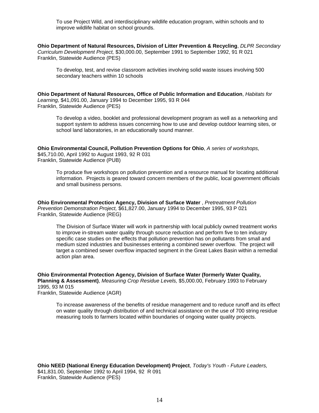To use Project Wild, and interdisciplinary wildlife education program, within schools and to improve wildlife habitat on school grounds.

**Ohio Department of Natural Resources, Division of Litter Prevention & Recycling**, *DLPR Secondary Curriculum Development Project,* \$30,000.00, September 1991 to September 1992, 91 R 021 Franklin, Statewide Audience (PES)

To develop, test, and revise classroom activities involving solid waste issues involving 500 secondary teachers within 10 schools

**Ohio Department of Natural Resources, Office of Public Information and Education**, *Habitats for Learning,* \$41,091.00, January 1994 to December 1995, 93 R 044 Franklin, Statewide Audience (PES)

To develop a video, booklet and professional development program as well as a networking and support system to address issues concerning how to use and develop outdoor learning sites, or school land laboratories, in an educationally sound manner.

**Ohio Environmental Council, Pollution Prevention Options for Ohio**, *A series of workshops,* \$45,710.00, April 1992 to August 1993, 92 R 031 Franklin, Statewide Audience (PUB)

To produce five workshops on pollution prevention and a resource manual for locating additional information. Projects is geared toward concern members of the public, local government officials and small business persons.

**Ohio Environmental Protection Agency, Division of Surface Water** , *Pretreatment Pollution Prevention Demonstration Project,* \$61,827.00, January 1994 to December 1995, 93 P 021 Franklin, Statewide Audience (REG)

The Division of Surface Water will work in partnership with local publicly owned treatment works to improve in-stream water quality through source reduction and perform five to ten industry specific case studies on the effects that pollution prevention has on pollutants from small and medium sized industries and businesses entering a combined sewer overflow. The project will target a combined sewer overflow impacted segment in the Great Lakes Basin within a remedial action plan area.

**Ohio Environmental Protection Agency, Division of Surface Water (formerly Water Quality, Planning & Assessment)**, *Measuring Crop Residue Levels,* \$5,000.00, February 1993 to February 1995, 93 M 015 Franklin, Statewide Audience (AGR)

To increase awareness of the benefits of residue management and to reduce runoff and its effect on water quality through distribution of and technical assistance on the use of 700 string residue measuring tools to farmers located within boundaries of ongoing water quality projects.

**Ohio NEED (National Energy Education Development) Project**, *Today's Youth - Future Leaders,* \$41,831.00, September 1992 to April 1994, 92 R 091 Franklin, Statewide Audience (PES)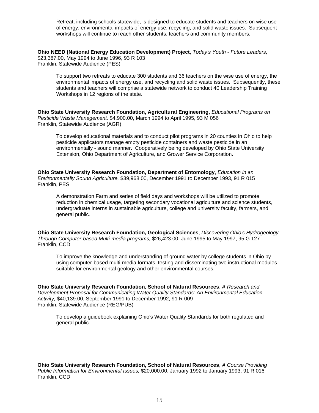Retreat, including schools statewide, is designed to educate students and teachers on wise use of energy, environmental impacts of energy use, recycling, and solid waste issues. Subsequent workshops will continue to reach other students, teachers and community members.

**Ohio NEED (National Energy Education Development) Project**, *Today's Youth - Future Leaders,* \$23,387.00, May 1994 to June 1996, 93 R 103 Franklin, Statewide Audience (PES)

To support two retreats to educate 300 students and 36 teachers on the wise use of energy, the environmental impacts of energy use, and recycling and solid waste issues. Subsequently, these students and teachers will comprise a statewide network to conduct 40 Leadership Training Workshops in 12 regions of the state.

**Ohio State University Research Foundation, Agricultural Engineering**, *Educational Programs on Pesticide Waste Management,* \$4,900.00, March 1994 to April 1995, 93 M 056 Franklin, Statewide Audience (AGR)

To develop educational materials and to conduct pilot programs in 20 counties in Ohio to help pesticide applicators manage empty pesticide containers and waste pesticide in an environmentally - sound manner. Cooperatively being developed by Ohio State University Extension, Ohio Department of Agriculture, and Grower Service Corporation.

**Ohio State University Research Foundation, Department of Entomology**, *Education in an Environmentally Sound Agriculture,* \$39,968.00, December 1991 to December 1993, 91 R 015 Franklin, PES

A demonstration Farm and series of field days and workshops will be utilized to promote reduction in chemical usage, targeting secondary vocational agriculture and science students, undergraduate interns in sustainable agriculture, college and university faculty, farmers, and general public.

**Ohio State University Research Foundation, Geological Sciences**, *Discovering Ohio's Hydrogeology Through Computer-based Multi-media programs,* \$26,423.00, June 1995 to May 1997, 95 G 127 Franklin, CCD

To improve the knowledge and understanding of ground water by college students in Ohio by using computer-based multi-media formats, testing and disseminating two instructional modules suitable for environmental geology and other environmental courses.

**Ohio State University Research Foundation, School of Natural Resources**, *A Research and Development Proposal for Communicating Water Quality Standards: An Environmental Education Activity,* \$40,139.00, September 1991 to December 1992, 91 R 009 Franklin, Statewide Audience (REG/PUB)

To develop a guidebook explaining Ohio's Water Quality Standards for both regulated and general public.

**Ohio State University Research Foundation, School of Natural Resources**, *A Course Providing Public Information for Environmental Issues,* \$20,000.00, January 1992 to January 1993, 91 R 016 Franklin, CCD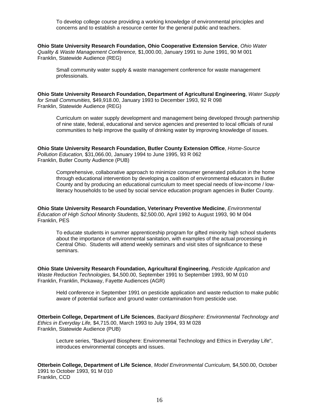To develop college course providing a working knowledge of environmental principles and concerns and to establish a resource center for the general public and teachers.

**Ohio State University Research Foundation, Ohio Cooperative Extension Service**, *Ohio Water Quality & Waste Management Conference,* \$1,000.00, January 1991 to June 1991, 90 M 001 Franklin, Statewide Audience (REG)

Small community water supply & waste management conference for waste management professionals.

**Ohio State University Research Foundation, Department of Agricultural Engineering**, *Water Supply for Small Communities,* \$49,918.00, January 1993 to December 1993, 92 R 098 Franklin, Statewide Audience (REG)

Curriculum on water supply development and management being developed through partnership of nine state, federal, educational and service agencies and presented to local officials of rural communities to help improve the quality of drinking water by improving knowledge of issues.

**Ohio State University Research Foundation, Butler County Extension Office**, *Home-Source Pollution Education,* \$31,066.00, January 1994 to June 1995, 93 R 062 Franklin, Butler County Audience (PUB)

Comprehensive, collaborative approach to minimize consumer generated pollution in the home through educational intervention by developing a coalition of environmental educators in Butler County and by producing an educational curriculum to meet special needs of low-income / lowliteracy households to be used by social service education program agencies in Butler County.

**Ohio State University Research Foundation, Veterinary Preventive Medicine**, *Environmental Education of High School Minority Students,* \$2,500.00, April 1992 to August 1993, 90 M 004 Franklin, PES

To educate students in summer apprenticeship program for gifted minority high school students about the importance of environmental sanitation, with examples of the actual processing in Central Ohio. Students will attend weekly seminars and visit sites of significance to these seminars.

**Ohio State University Research Foundation, Agricultural Engineering**, *Pesticide Application and Waste Reduction Technologies,* \$4,500.00, September 1991 to September 1993, 90 M 010 Franklin, Franklin, Pickaway, Fayette Audiences (AGR)

Held conference in September 1991 on pesticide application and waste reduction to make public aware of potential surface and ground water contamination from pesticide use.

**Otterbein College, Department of Life Sciences**, *Backyard Biosphere: Environmental Technology and Ethics in Everyday Life,* \$4,715.00, March 1993 to July 1994, 93 M 028 Franklin, Statewide Audience (PUB)

Lecture series, "Backyard Biosphere: Environmental Technology and Ethics in Everyday Life", introduces environmental concepts and issues.

**Otterbein College, Department of Life Science**, *Model Environmental Curriculum,* \$4,500.00, October 1991 to October 1993, 91 M 010 Franklin, CCD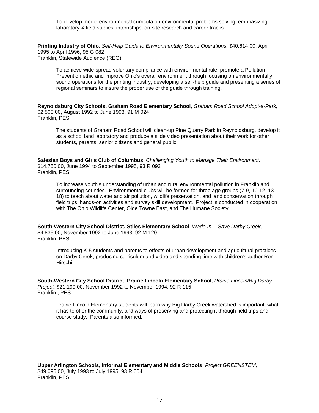To develop model environmental curricula on environmental problems solving, emphasizing laboratory & field studies, internships, on-site research and career tracks.

**Printing Industry of Ohio**, *Self-Help Guide to Environmentally Sound Operations,* \$40,614.00, April 1995 to April 1996, 95 G 082 Franklin, Statewide Audience (REG)

To achieve wide-spread voluntary compliance with environmental rule, promote a Pollution Prevention ethic and improve Ohio's overall environment through focusing on environmentally sound operations for the printing industry, developing a self-help guide and presenting a series of regional seminars to insure the proper use of the guide through training.

**Reynoldsburg City Schools, Graham Road Elementary School**, *Graham Road School Adopt-a-Park,* \$2,500.00, August 1992 to June 1993, 91 M 024 Franklin, PES

The students of Graham Road School will clean-up Pine Quarry Park in Reynoldsburg, develop it as a school land laboratory and produce a slide video presentation about their work for other students, parents, senior citizens and general public.

**Salesian Boys and Girls Club of Columbus**, *Challenging Youth to Manage Their Environment,* \$14,750.00, June 1994 to September 1995, 93 R 093 Franklin, PES

To increase youth's understanding of urban and rural environmental pollution in Franklin and surrounding counties. Environmental clubs will be formed for three age groups (7-9, 10-12, 13- 18) to teach about water and air pollution, wildlife preservation, and land conservation through field trips, hands-on activities and survey skill development. Project is conducted in cooperation with The Ohio Wildlife Center, Olde Towne East, and The Humane Society.

**South-Western City School District, Stiles Elementary School**, *Wade In -- Save Darby Creek,* \$4,835.00, November 1992 to June 1993, 92 M 120 Franklin, PES

Introducing K-5 students and parents to effects of urban development and agricultural practices on Darby Creek, producing curriculum and video and spending time with children's author Ron Hirschi.

**South-Western City School District, Prairie Lincoln Elementary School**, *Prairie Lincoln/Big Darby Project,* \$21,199.00, November 1992 to November 1994, 92 R 115 Franklin , PES

Prairie Lincoln Elementary students will learn why Big Darby Creek watershed is important, what it has to offer the community, and ways of preserving and protecting it through field trips and course study. Parents also informed.

**Upper Arlington Schools, Informal Elementary and Middle Schools**, *Project GREENSTEM,* \$49,095.00, July 1993 to July 1995, 93 R 004 Franklin, PES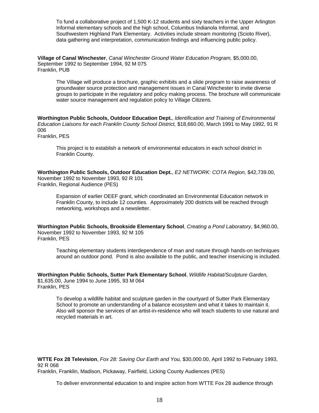To fund a collaborative project of 1,500 K-12 students and sixty teachers in the Upper Arlington Informal elementary schools and the high school, Columbus Indianola Informal, and Southwestern Highland Park Elementary. Activities include stream monitoring (Scioto River), data gathering and interpretation, communication findings and influencing public policy.

**Village of Canal Winchester**, *Canal Winchester Ground Water Education Program,* \$5,000.00, September 1992 to September 1994, 92 M 075 Franklin, PUB

The Village will produce a brochure, graphic exhibits and a slide program to raise awareness of groundwater source protection and management issues in Canal Winchester to invite diverse groups to participate in the regulatory and policy making process. The brochure will communicate water source management and regulation policy to Village Citizens.

**Worthington Public Schools, Outdoor Education Dept.**, *Identification and Training of Environmental Education Liaisons for each Franklin County School District,* \$18,660.00, March 1991 to May 1992, 91 R 006 Franklin, PES

This project is to establish a network of environmental educators in each school district in

Franklin County.

**Worthington Public Schools, Outdoor Education Dept.**, *E2 NETWORK: COTA Region,* \$42,739.00, November 1992 to November 1993, 92 R 101 Franklin, Regional Audience (PES)

Expansion of earlier OEEF grant, which coordinated an Environmental Education network in Franklin County, to include 12 counties. Approximately 200 districts will be reached through networking, workshops and a newsletter.

**Worthington Public Schools, Brookside Elementary School**, *Creating a Pond Laboratory,* \$4,960.00, November 1992 to November 1993, 92 M 105 Franklin, PES

Teaching elementary students interdependence of man and nature through hands-on techniques around an outdoor pond. Pond is also available to the public, and teacher inservicing is included.

**Worthington Public Schools, Sutter Park Elementary School**, *Wildlife Habitat/Sculpture Garden,* \$1,635.00, June 1994 to June 1995, 93 M 064 Franklin, PES

To develop a wildlife habitat and sculpture garden in the courtyard of Sutter Park Elementary School to promote an understanding of a balance ecosystem and what it takes to maintain it. Also will sponsor the services of an artist-in-residence who will teach students to use natural and recycled materials in art.

**WTTE Fox 28 Television**, *Fox 28: Saving Our Earth and You,* \$30,000.00, April 1992 to February 1993, 92 R 068 Franklin, Franklin, Madison, Pickaway, Fairfield, Licking County Audiences (PES)

To deliver environmental education to and inspire action from WTTE Fox 28 audience through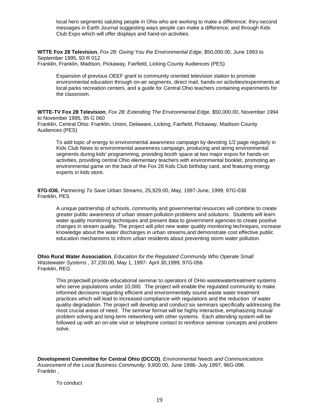local hero segments saluting people in Ohio who are working to make a difference; thiry-second messages in Earth Journal suggesting ways people can make a difference; and through Kids Club Expo which will offer displays and hand-on activities.

**WTTE Fox 28 Television**, *Fox 28: Giving You the Environmental Edge,* \$50,000.00, June 1993 to September 1995, 93 R 012 Franklin, Franklin, Madison, Pickaway, Fairfield, Licking County Audiences (PES)

Expansion of previous OEEF grant to community oriented television station to promote environmental education through on-air segments, direct mail, hands-on activities/experiments at local parks recreation centers, and a guide for Central Ohio teachers containing experiments for the classroom.

**WTTE-TV Fox 28 Television**, *Fox 28: Extending The Environmental Edge,* \$50,000.00, November 1994 to November 1995, 95 G 060

Franklin, Central Ohio: Franklin, Union, Delaware, Licking, Fairfield, Pickaway, Madison County Audiences (PES)

To add topic of energy to environmental awareness campaign by devoting 1/2 page regularly in Kids Club News to environmental awareness campaign, producing and airing environmental segments during kids' programming, providing booth space at two major expos for hands-on activities, providing central Ohio elementary teachers with environmental booklet, promoting an environmental game on the back of the Fox 28 Kids Club birthday card, and featuring energy experts in kids store.

**97G-036**, *Partnering To Save Urban Streams,* 25,929.00, May, 1997-June, 1999, 97G-036 Franklin, PES

A unique partnership of schools, community and governmental resources will combine to create greater public awareness of urban stream pollution problems and solutions. Students will learn water quality monitoring techniques and present data to government agencies to create positive changes in stream quality. The project will pilot new water quality monitoring techniques, increase knowledge about the water discharges in urban streams,and demonstrate cost effective public education mechanisms to inform urban residents about preventing storm water pollution.

**Ohio Rural Water Association**, *Education for the Regulated Community Who Operate Small Wastewater Systems ,* 37,230.00, May 1, 1997- April 30,1999, 97G-056 Franklin, REG

This projectwill provide educational seminar to operators of OHio wastewatertreatment systems who serve populations under 10,000. The project will enable the regulated community to make informed decisions regarding efficient and environmentally sound waste water treatment practices which will lead to increased compliance with regulations and the reduction of water quality degradation. The project will develop and conduct six seminars specifically addressing the most crucial areas of need. The seminar format will be highly interactive, emphasizing mutual problem solving and long-term networking with other systems. Each attending system will be followed up with an on-site visit or telephone contact to reinforce seminar concepts and problem solve.

**Development Committee for Central Ohio (DCCO)**, *Environmental Needs and Communications Assessment of the Local Business Community,* 9,600.00, June 1996- July 1997, 96G-096 Franklin ,

To conduct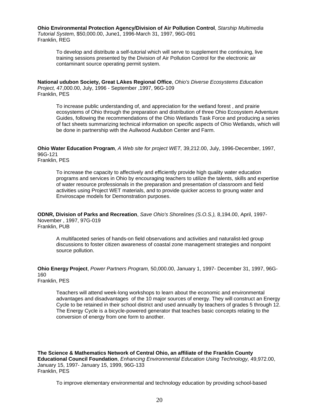**Ohio Environmental Protection Agency/Division of Air Pollution Control**, *Starship Multimedia Tutorial System,* \$50,000.00, June1, 1996-March 31, 1997, 96G-091 Franklin, REG

To develop and distribute a self-tutorial which will serve to supplement the continuing, live training sessions presented by the Division of Air Pollution Control for the electronic air contaminant source operating permit system.

**National udubon Society, Great LAkes Regional Office**, *Ohio's Diverse Ecosystems Education Project,* 47,000.00, July, 1996 - September ,1997, 96G-109 Franklin, PES

To increase public understanding of, and appreciation for the wetland forest , and prairie ecosystems of Ohio through the preparation and distribution of three Ohio Ecosystem Adventure Guides, following the recommendations of the Ohio Wetlands Task Force and producing a series of fact sheets summarizing technical information on specific aspects of Ohio Wetlands, which will be done in partnership with the Aullwood Audubon Center and Farm.

**Ohio Water Education Program**, *A Web site for project WET,* 39,212.00, July, 1996-December, 1997, 96G-121

Franklin, PES

To increase the capacity to affectively and efficiently provide high quality water education programs and services in Ohio by encouraging teachers to utilize the talents, skills and expertise of water resource professionals in the preparation and presentation of classroom and field activities using Project WET materials, and to provide quicker access to groung water and Enviroscape models for Demonstration purposes.

**ODNR, Division of Parks and Recreation**, *Save Ohio's Shorelines (S.O.S.),* 8,194.00, April, 1997- November , 1997, 97G-019 Franklin, PUB

A multifaceted series of hands-on field observations and activities and naturalist-led group discussions to foster citizen awareness of coastal zone management strategies and nonpoint source pollution.

**Ohio Energy Project**, *Power Partners Program,* 50,000.00, January 1, 1997- December 31, 1997, 96G-160

Franklin, PES

Teachers will attend week-long workshops to learn about the economic and environmental advantages and disadvantages of the 10 major sources of energy. They will construct an Energy Cycle to be retained in their school district and used annually by teachers of grades 5 through 12. The Energy Cycle is a bicycle-powered generator that teaches basic concepts relating to the conversion of energy from one form to another.

**The Science & Mathematics Network of Central Ohio, an affiliate of the Franklin County Educational Council Foundation**, *Enhancing Environmental Education Using Technology,* 49,972.00, January 15, 1997- January 15, 1999, 96G-133 Franklin, PES

To improve elementary environmental and technology education by providing school-based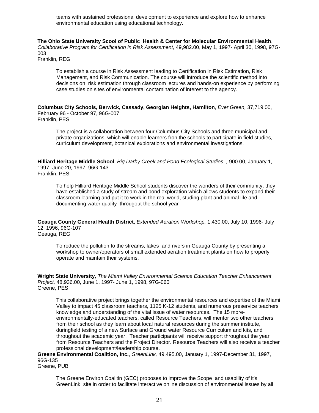teams with sustained professional development to experience and explore how to enhance environmental education using educational technology.

**The Ohio State University Scool of Public Health & Center for Molecular Environmental Health**, *Collaborative Program for Certification in Risk Assessment,* 49,982.00, May 1, 1997- April 30, 1998, 97G-003 Franklin, REG

To establish a course in Risk Assessment leading to Certification in Risk Estimation, Risk Management, and Risk Communication. The course will introduce the scientific method into decisions on risk estimation through classroom lectures and hands-on experience by performing case studies on sites of environmental contamination of interest to the agency.

**Columbus City Schools, Berwick, Cassady, Georgian Heights, Hamilton**, *Ever Green,* 37,719.00, February 96 - October 97, 96G-007 Franklin, PES

The project is a collaboration between four Columbus City Schools and three municipal and private organizations which will enable learners fron the schools to participate in field studies, curriculum development, botanical explorations and environmental investigations.

**Hilliard Heritage Middle School**, *Big Darby Creek and Pond Ecological Studies ,* 900.00, January 1, 1997- June 20, 1997, 96G-143 Franklin, PES

To help Hilliard Heritage Middle School students discover the wonders of their community, they have established a study of stream and pond exploration which allows students to expand their classroom learning and put it to work in the real world, studing plant and animal life and documenting water quality througout the school year

**Geauga County General Health District**, *Extended Aeration Workshop,* 1,430.00, July 10, 1996- July 12, 1996, 96G-107 Geauga, REG

To reduce the pollution to the streams, lakes and rivers in Geauga County by presenting a workshop to owner/operators of small extended aeration treatment plants on how to properly operate and maintain their systems.

**Wright State University**, *The Miami Valley Environmental Science Education Teacher Enhancement Project,* 48,936.00, June 1, 1997- June 1, 1998, 97G-060 Greene, PES

This collaborative project brings together the environmental resources and expertise of the Miami Valley to impact 45 classroom teachers, 1125 K-12 students, and numerous preservice teachers knowledge and understanding of the vital issue of water resources. The 15 moreenvironmentally-educated teachers, called Resource Teachers, will mentor two other teachers from their school as they learn about local natural resources during the summer institute, duringfield testing of a new Surface and Ground water Resource Curriculum and kits, and throughout the academic year. Teacher participants will receive support throughout the year from Resource Teachers and the Project Director. Resource Teachers will also receive a teacher professional development/leadership course.

**Greene Environmental Coalition, Inc.**, *GreenLink,* 49,495.00, January 1, 1997-December 31, 1997, 96G-135

Greene, PUB

The Greene Environ Coalitin (GEC) proposes to improve the Scope and usability of it's GreenLink site in order to facilitate interactive online discussion of environmental issues by all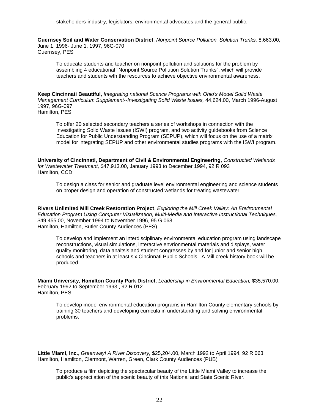stakeholders-industry, legislators, environmental advocates and the general public.

**Guernsey Soil and Water Conservation District**, *Nonpoint Source Pollution Solution Trunks,* 8,663.00, June 1, 1996- June 1, 1997, 96G-070 Guernsey, PES

To educate students and teacher on nonpoint pollution and solutions for the problem by assembling 4 educational "Nonpoint Source Pollution Solution Trunks", which will provide teachers and students wth the resources to achieve objective environmental awareness.

**Keep Cincinnati Beautiful**, *Integrating national Scence Programs with Ohio's Model Solid Waste Management Curriculum Supplement--Investigating Solid Waste Issues,* 44,624.00, March 1996-August 1997, 96G-097 Hamilton, PES

To offer 20 selected secondary teachers a series of workshops in connection with the Investigating Solid Waste Issues (ISWI) program, and two activity guidebooks from Science Education for Public Understanding Program (SEPUP), which will focus on the use of a matrix model for integrating SEPUP and other environmental studies programs with the ISWI program.

**University of Cincinnati, Department of Civil & Environmental Engineering**, *Constructed Wetlands for Wastewater Treatment,* \$47,913.00, January 1993 to December 1994, 92 R 093 Hamilton, CCD

To design a class for senior and graduate level environmental engineering and science students on proper design and operation of constructed wetlands for treating wastewater.

**Rivers Unlimited Mill Creek Restoration Project**, *Exploring the Mill Creek Valley: An Environmental Education Program Using Computer Visualization, Multi-Media and Interactive Instructional Techniques,* \$49,455.00, November 1994 to November 1996, 95 G 068 Hamilton, Hamilton, Butler County Audiences (PES)

To develop and implement an interdisciplinary environmental education program using landscape reconstructions, visual simulations, interactive envrionmental materials and displays, water quality monitoring, data analtsis and student congresses by and for junior and senior high schools and teachers in at least six Cincinnati Public Schools. A Mill creek history book will be produced.

**Miami University, Hamilton County Park District**, *Leadership in Environmental Education,* \$35,570.00, February 1992 to September 1993 , 92 R 012 Hamilton, PES

To develop model environmental education programs in Hamilton County elementary schools by training 30 teachers and developing curricula in understanding and solving environmental problems.

**Little Miami, Inc.**, *Greenway! A River Discovery,* \$25,204.00, March 1992 to April 1994, 92 R 063 Hamilton, Hamilton, Clermont, Warren, Green, Clark County Audiences (PUB)

To produce a film depicting the spectacular beauty of the Little Miami Valley to increase the public's apprectiation of the scenic beauty of this National and State Scenic River.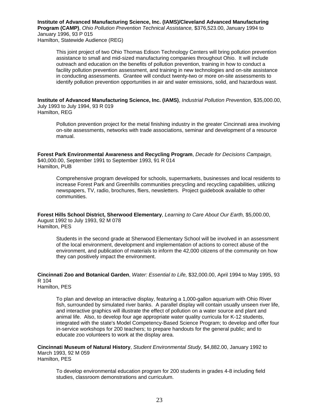**Institute of Advanced Manufacturing Science, Inc. (IAMS)/Cleveland Advanced Manufacturing Program (CAMP)**, *Ohio Pollution Prevention Technical Assistance,* \$376,523.00, January 1994 to January 1996, 93 P 015 Hamilton, Statewide Audience (REG)

This joint project of two Ohio Thomas Edison Technology Centers will bring pollution prevention assistance to small and mid-sized manufacturing companies throughout Ohio. It will include outreach and education on the benefits of pollution prevention, training in how to conduct a facility pollution prevention assessment, and training in new technologies and on-site assistance in conducting assessments. Grantee will conduct twenty-two or more on-site assessments to identify pollution prevention opportunities in air and water emissions, solid, and hazardous wast.

**Institute of Advanced Manufacturing Science, Inc. (IAMS)**, *Industrial Pollution Prevention,* \$35,000.00, July 1993 to July 1994, 93 R 019 Hamilton, REG

Pollution prevention project for the metal finishing industry in the greater Cincinnati area involving on-site assessments, networks with trade associations, seminar and development of a resource manual.

**Forest Park Environmental Awareness and Recycling Program**, *Decade for Decisions Campaign,* \$40,000.00, September 1991 to September 1993, 91 R 014 Hamilton, PUB

Comprehensive program developed for schools, supermarkets, businesses and local residents to increase Forest Park and Greenhills communities precycling and recycling capabilities, utilizing newspapers, TV, radio, brochures, fliers, newsletters. Project guidebook available to other communities.

**Forest Hills School District, Sherwood Elementary**, *Learning to Care About Our Earth,* \$5,000.00, August 1992 to July 1993, 92 M 078 Hamilton, PES

Students in the second grade at Sherwood Elementary School will be involved in an assessment of the local environment, development and implementation of actions to correct abuse of the environment, and publication of materials to inform the 42,000 citizens of the community on how they can positively impact the environment.

**Cincinnati Zoo and Botanical Garden**, *Water: Essential to Life,* \$32,000.00, April 1994 to May 1995, 93 R 104

Hamilton, PES

To plan and develop an interactive display, featuring a 1,000-gallon aquarium with Ohio River fish, surrounded by simulated river banks. A parallel display will contain usually unseen river life, and interactive graphics will illustrate the effect of pollution on a water source and plant and animal life. Also, to develop four age appropriate water quality curricula for K-12 students, integrated with the state's Model Competency-Based Science Program; to develop and offer four in-service workshops for 200 teachers; to prepare handouts for the general public; and to educate zoo volunteers to work at the display area.

**Cincinnati Museum of Natural History**, *Student Environmental Study,* \$4,882.00, January 1992 to March 1993, 92 M 059 Hamilton, PES

To develop environmental education program for 200 students in grades 4-8 including field studies, classroom demonstrations and curriculum.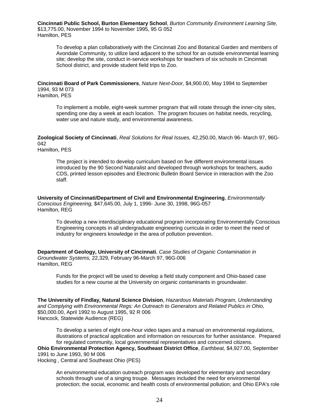**Cincinnati Public School, Burton Elementary School**, *Burton Community Environment Learning Site,* \$13,775.00, November 1994 to November 1995, 95 G 052 Hamilton, PES

To develop a plan collaboratively with the Cincinnati Zoo and Botanical Garden and members of Avondale Community, to utilize land adjacent to the school for an outside environmental learning site; develop the site, conduct in-service workshops for teachers of six schools in Cincinnati School district, and provide student field trips to Zoo.

**Cincinnati Board of Park Commissioners**, *Nature Next-Door,* \$4,900.00, May 1994 to September 1994, 93 M 073 Hamilton, PES

To implement a mobile, eight-week summer program that will rotate through the inner-city sites, spending one day a week at each location. The program focuses on habitat needs, recycling, water use and nature study, and environmental awareness.

**Zoological Society of Cincinnati**, *Real Solutions for Real Issues,* 42,250.00, March 96- March 97, 96G-042

Hamilton, PES

The project is intended to develop curriculum based on five different environmental issues introduced by the 90 Second Naturalist and developed through workshops for teachers, audio CDS, printed lesson episodes and Electronic Bulletin Board Service in interaction with the Zoo staff.

**University of Cincinnati/Department of Civil and Environmental Engineering**, *Environmentally Conscious Engineering,* \$47,645.00, July 1, 1996- June 30, 1998, 96G-057 Hamilton, REG

To develop a new interdisciplinary educational program incorporating Environmentally Conscious Engineering concepts in all undergraduate engineering curricula in order to meet the need of industry for engineers knowledge in the area of pollution prevention.

**Department of Geology, University of Cincinnati**, *Case Studies of Organic Contamination in Groundwater Systems,* 22,329, February 96-March 97, 96G-006 Hamilton, REG

Funds for the project will be used to develop a field study component and Ohio-based case studies for a new course at the University on organic contaminants in groundwater.

**The University of Findlay, Natural Science Division**, *Hazardous Materials Program, Understanding and Complying with Environmental Regs: An Outreach to Generators and Related Publics in Ohio,* \$50,000.00, April 1992 to August 1995, 92 R 006 Hancock, Statewide Audience (REG)

To develop a series of eight one-hour video tapes and a manual on environmental regulations, illustrations of practical application and information on resources for further assistance. Prepared for regulated community, local governmental representatives and concerned citizens. **Ohio Environmental Protection Agency, Southeast District Office**, *Earthbeat,* \$4,927.00, September 1991 to June 1993, 90 M 006 Hocking , Central and Southeast Ohio (PES)

An environmental education outreach program was developed for elementary and secondary schools through use of a singing troupe. Messages included the need for environmental protection; the social, economic and health costs of environmental pollution; and Ohio EPA's role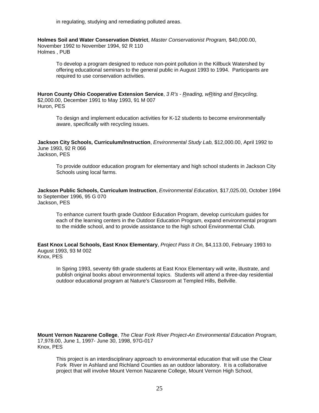in regulating, studying and remediating polluted areas.

**Holmes Soil and Water Conservation District**, *Master Conservationist Program,* \$40,000.00, November 1992 to November 1994, 92 R 110 Holmes , PUB

To develop a program designed to reduce non-point pollution in the Killbuck Watershed by offering educational seminars to the general public in August 1993 to 1994. Participants are required to use conservation activities.

**Huron County Ohio Cooperative Extension Service**, *3 R's - Reading, wRiting and Recycling,* \$2,000.00, December 1991 to May 1993, 91 M 007 Huron, PES

To design and implement education activities for K-12 students to become environmentally aware, specifically with recycling issues.

**Jackson City Schools, Curriculum/Instruction**, *Environmental Study Lab,* \$12,000.00, April 1992 to June 1993, 92 R 066 Jackson, PES

To provide outdoor education program for elementary and high school students in Jackson City Schools using local farms.

**Jackson Public Schools, Curriculum Instruction**, *Environmental Education,* \$17,025.00, October 1994 to September 1996, 95 G 070 Jackson, PES

To enhance current fourth grade Outdoor Education Program, develop curriculum guides for each of the learning centers in the Outdoor Education Program, expand environmental program to the middle school, and to provide assistance to the high school Environmental Club.

**East Knox Local Schools, East Knox Elementary**, *Project Pass It On,* \$4,113.00, February 1993 to August 1993, 93 M 002 Knox, PES

In Spring 1993, seventy 6th grade students at East Knox Elementary will write, illustrate, and publish original books about environmental topics. Students will attend a three-day residential outdoor educational program at Nature's Classroom at Templed Hills, Bellville.

**Mount Vernon Nazarene College**, *The Clear Fork River Project-An Environmental Education Program,* 17,978.00, June 1, 1997- June 30, 1998, 97G-017 Knox, PES

This project is an interdisciplinary approach to environmental education that will use the Clear Fork River in Ashland and Richland Counties as an outdoor laboratory. It is a collaborative project that will involve Mount Vernon Nazarene College, Mount Vernon High School,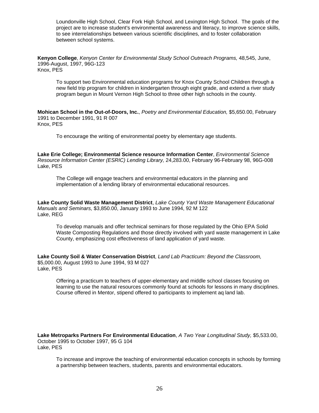Loundonville High School, Clear Fork High School, and Lexington High School. The goals of the project are to increase student's environmental awareness and literacy, to improve science skills, to see interrelationships between various scientific disciplines, and to foster collaboration between school systems.

**Kenyon College**, *Kenyon Center for Environmental Study School Outreach Programs,* 48,545, June, 1996-August, 1997, 96G-123 Knox, PES

To support two Environmental education programs for Knox County School Children through a new field trip program for children in kindergarten through eight grade, and extend a river study program begun in Mount Vernon High School to three other high schools in the county.

**Mohican School in the Out-of-Doors, Inc.**, *Poetry and Environmental Education,* \$5,650.00, February 1991 to December 1991, 91 R 007 Knox, PES

To encourage the writing of environmental poetry by elementary age students.

**Lake Erie College; Environmental Science resource Information Center**, *Environmental Science Resource Information Center (ESRIC) Lending Library,* 24,283.00, February 96-February 98, 96G-008 Lake, PES

The College will engage teachers and environmental educators in the planning and implementation of a lending library of environmental educational resources.

**Lake County Solid Waste Management District**, *Lake County Yard Waste Management Educational Manuals and Seminars,* \$3,850.00, January 1993 to June 1994, 92 M 122 Lake, REG

To develop manuals and offer technical seminars for those regulated by the Ohio EPA Solid Waste Composting Regulations and those directly involved with yard waste management in Lake County, emphasizing cost effectiveness of land application of yard waste.

**Lake County Soil & Water Conservation District**, *Land Lab Practicum: Beyond the Classroom,* \$5,000.00, August 1993 to June 1994, 93 M 027 Lake, PES

Offering a practicum to teachers of upper-elementary and middle school classes focusing on learning to use the natural resources commonly found at schools for lessons in many disciplines. Course offered in Mentor, stipend offered to participants to implement aq land lab.

**Lake Metroparks Partners For Environmental Education**, *A Two Year Longitudinal Study,* \$5,533.00, October 1995 to October 1997, 95 G 104 Lake, PES

To increase and improve the teaching of environmental education concepts in schools by forming a partnership between teachers, students, parents and environmental educators.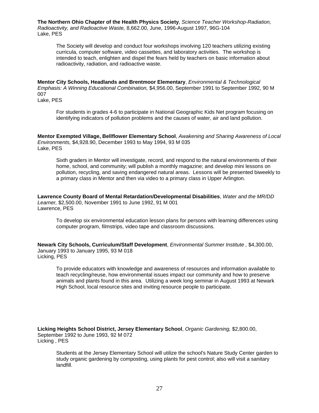**The Northern Ohio Chapter of the Health Physics Society**, *Science Teacher Workshop-Radiation, Radioactivity, and Radioactive Waste,* 8,662.00, June, 1996-August 1997, 96G-104 Lake, PES

The Society will develop and conduct four workshops involving 120 teachers utilizing existing curricula, computer software, video cassettes, and laboratory activities. The workshop is intended to teach, enlighten and dispel the fears held by teachers on basic information about radioactivity, radiation, and radioactive waste.

**Mentor City Schools, Headlands and Brentmoor Elementary**, *Environmental & Technological Emphasis: A Winning Educational Combination,* \$4,956.00, September 1991 to September 1992, 90 M 007

Lake, PES

For students in grades 4-6 to participate in National Geographic Kids Net program focusing on identifying indicators of pollution problems and the causes of water, air and land pollution.

**Mentor Exempted Village, Bellflower Elementary School**, *Awakening and Sharing Awareness of Local Environments,* \$4,928.90, December 1993 to May 1994, 93 M 035 Lake, PES

Sixth graders in Mentor will investigate, record, and respond to the natural environments of their home, school, and community; will publish a monthly magazine; and develop mini lessons on pollution, recycling, and saving endangered natural areas. Lessons will be presented biweekly to a primary class in Mentor and then via video to a primary class in Upper Arlington.

**Lawrence County Board of Mental Retardation/Developmental Disabilities**, *Water and the MR/DD Learner,* \$2,500.00, November 1991 to June 1992, 91 M 001 Lawrence, PES

To develop six environmental education lesson plans for persons with learning differences using computer program, filmstrips, video tape and classroom discussions.

**Newark City Schools, Curriculum/Staff Development**, *Environmental Summer Institute ,* \$4,300.00, January 1993 to January 1995, 93 M 018 Licking, PES

To provide educators with knowledge and awareness of resources and information available to teach recycling/reuse, how environmental issues impact our community and how to preserve animals and plants found in this area. Utilizing a week long seminar in August 1993 at Newark High School, local resource sites and inviting resource people to participate.

**Licking Heights School District, Jersey Elementary School**, *Organic Gardening,* \$2,800.00, September 1992 to June 1993, 92 M 072 Licking , PES

Students at the Jersey Elementary School will utilize the school's Nature Study Center garden to study organic gardening by composting, using plants for pest control; also will visit a sanitary landfill.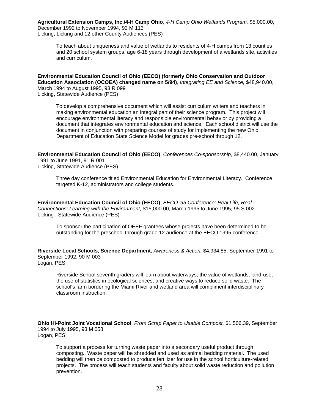**Agricultural Extension Camps, Inc./4-H Camp Ohio**, *4-H Camp Ohio Wetlands Program,* \$5,000.00, December 1992 to November 1994, 92 M 113 Licking, Licking and 12 other County Audiences (PES)

To teach about uniqueness and value of wetlands to residents of 4-H camps from 13 counties and 20 school system groups, age 6-18 years through development of a wetlands site, activities and curriculum.

**Environmental Education Council of Ohio (EECO) (formerly Ohio Conservation and Outdoor Education Association (OCOEA) changed name on 5/94)**, *Integrating EE and Science,* \$48,940.00, March 1994 to August 1995, 93 R 099 Licking, Statewide Audience (PES)

To develop a comprehensive document which will assist curriculum writers and teachers in making environmental education an integral part of their science program. This project will encourage environmental literacy and responsible environmental behavior by providing a document that integrates environmental education and science. Each school district will use the document in conjunction with preparing courses of study for implementing the new Ohio Department of Education State Science Model for grades pre-school through 12.

**Environmental Education Council of Ohio (EECO)**, *Conferences Co-sponsorship,* \$8,440.00, January 1991 to June 1991, 91 R 001 Licking, Statewide Audience (PES)

Three day conference titled Environmental Education for Environmental Literacy. Conference targeted K-12, administrators and college students.

**Environmental Education Council of Ohio (EECO)**, *EECO '95 Conference: Real Life, Real Connections: Learning with the Environment,* \$15,000.00, March 1995 to June 1995, 95 S 002 Licking , Statewide Audience (PES)

To sponsor the participation of OEEF grantees whose projects have been determined to be outstanding for the preschool through grade 12 audience at the EECO 1995 conference.

**Riverside Local Schools, Science Department**, *Awareness & Action,* \$4,934.85, September 1991 to September 1992, 90 M 003 Logan, PES

Riverside School seventh graders will learn about waterways, the value of wetlands, land-use, the use of statistics in ecological sciences, and creative ways to reduce solid waste. The school's farm bordering the Miami River and wetland area will compliment interdisciplinary classroom instruction.

**Ohio Hi-Point Joint Vocational School**, *From Scrap Paper to Usable Compost,* \$1,506.39, September 1994 to July 1995, 93 M 058 Logan, PES

To support a process for turning waste paper into a secondary useful product through composting. Waste paper will be shredded and used as animal bedding material. The used bedding will then be composted to produce fertilizer for use in the school horticulture-related projects. The process will teach students and faculty about solid waste reduction and pollution prevention.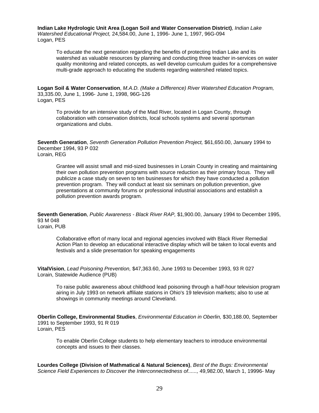**Indian Lake Hydrologic Unit Area (Logan Soil and Water Conservation District)**, *Indian Lake Watershed Educational Project,* 24,584.00, June 1, 1996- June 1, 1997, 96G-094 Logan, PES

To educate the next generation regarding the benefits of protecting Indian Lake and its watershed as valuable resources by planning and conducting three teacher in-services on water quality monitoring and related concepts, as well develop curriculum guides for a comprehensive multi-grade approach to educating the students regarding watershed related topics.

**Logan Soil & Water Conservation**, *M.A.D. (Make a Difference) River Watershed Education Program,* 33,335.00, June 1, 1996- June 1, 1998, 96G-126 Logan, PES

To provide for an intensive study of the Mad River, located in Logan County, through collaboration with conservation districts, local schools systems and several sportsman organizations and clubs.

**Seventh Generation**, *Seventh Generation Pollution Prevention Project,* \$61,650.00, January 1994 to December 1994, 93 P 032 Lorain, REG

Grantee will assist small and mid-sized businesses in Lorain County in creating and maintaining their own pollution prevention programs with source reduction as their primary focus. They will publicize a case study on seven to ten businesses for which they have conducted a pollution prevention program. They will conduct at least six seminars on pollution prevention, give presentations at community forums or professional industrial associations and establish a pollution prevention awards program.

**Seventh Generation**, *Public Awareness - Black River RAP,* \$1,900.00, January 1994 to December 1995, 93 M 048

Lorain, PUB

Collaborative effort of many local and regional agencies involved with Black River Remedial Action Plan to develop an educational interactive display which will be taken to local events and festivals and a slide presentation for speaking engagements

**VitalVision**, *Lead Poisoning Prevention,* \$47,363.60, June 1993 to December 1993, 93 R 027 Lorain, Statewide Audience (PUB)

To raise public awareness about childhood lead poisoning through a half-hour television program airing in July 1993 on network affiliate stations in Ohio's 19 television markets; also to use at showings in community meetings around Cleveland.

**Oberlin College, Environmental Studies**, *Environmental Education in Oberlin,* \$30,188.00, September 1991 to September 1993, 91 R 019 Lorain, PES

To enable Oberlin College students to help elementary teachers to introduce environmental concepts and issues to their classes.

**Lourdes College (Division of Mathmatical & Natural Sciences)**, *Best of the Bugs: Environmental Science Field Experiences to Discover the Interconnectedness of......,* 49,982.00, March 1, 19996- May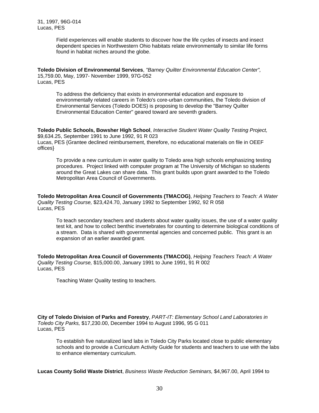Field experiences will enable students to discover how the life cycles of insects and insect dependent species in Northwestern Ohio habitats relate environmentally to similar life forms found in habitat niches around the globe.

**Toledo Division of Environmental Services**, *"Barney Quilter Environmental Education Center",* 15,759.00, May, 1997- November 1999, 97G-052 Lucas, PES

To address the deficiency that exists in environmental education and exposure to environmentally related careers in Toledo's core-urban communities, the Toledo division of Environmental Services (Toledo DOES) is proposing to develop the "Barney Quilter Environmental Education Center" geared toward are seventh graders.

**Toledo Public Schools, Bowsher High School**, *Interactive Student Water Quality Testing Project,* \$9,634.25, September 1991 to June 1992, 91 R 023 Lucas, PES {Grantee declined reimbursement, therefore, no educational materials on file in OEEF offices}

To provide a new curriculum in water quality to Toledo area high schools emphasizing testing procedures. Project linked with computer program at The University of Michigan so students around the Great Lakes can share data. This grant builds upon grant awarded to the Toledo Metropolitan Area Council of Governments.

**Toledo Metropolitan Area Council of Governments (TMACOG)**, *Helping Teachers to Teach: A Water Quality Testing Course,* \$23,424.70, January 1992 to September 1992, 92 R 058 Lucas, PES

To teach secondary teachers and students about water quality issues, the use of a water quality test kit, and how to collect benthic invertebrates for counting to determine biological conditions of a stream. Data is shared with governmental agencies and concerned public. This grant is an expansion of an earlier awarded grant.

**Toledo Metropolitan Area Council of Governments (TMACOG)**, *Helping Teachers Teach: A Water Quality Testing Course,* \$15,000.00, January 1991 to June 1991, 91 R 002 Lucas, PES

Teaching Water Quality testing to teachers.

**City of Toledo Division of Parks and Forestry**, *PART-IT: Elementary School Land Laboratories in Toledo City Parks,* \$17,230.00, December 1994 to August 1996, 95 G 011 Lucas, PES

To establish five naturalized land labs in Toledo City Parks located close to public elementary schools and to provide a Curriculum Activity Guide for students and teachers to use with the labs to enhance elementary curriculum.

**Lucas County Solid Waste District**, *Business Waste Reduction Seminars,* \$4,967.00, April 1994 to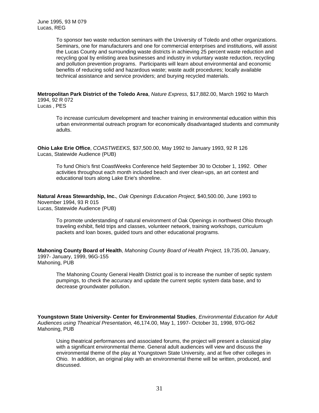To sponsor two waste reduction seminars with the University of Toledo and other organizations. Seminars, one for manufacturers and one for commercial enterprises and institutions, will assist the Lucas County and surrounding waste districts in achieving 25 percent waste reduction and recycling goal by enlisting area businesses and industry in voluntary waste reduction, recycling and pollution prevention programs. Participants will learn about environmental and economic benefits of reducing solid and hazardous waste; waste audit procedures; locally available technical assistance and service providers; and burying recycled materials.

**Metropolitan Park District of the Toledo Area**, *Nature Express,* \$17,882.00, March 1992 to March 1994, 92 R 072

Lucas , PES

To increase curriculum development and teacher training in environmental education within this urban environmental outreach program for economically disadvantaged students and community adults.

**Ohio Lake Erie Office**, *COASTWEEKS,* \$37,500.00, May 1992 to January 1993, 92 R 126 Lucas, Statewide Audience (PUB)

To fund Ohio's first CoastWeeks Conference held September 30 to October 1, 1992. Other activities throughout each month included beach and river clean-ups, an art contest and educational tours along Lake Erie's shoreline.

**Natural Areas Stewardship, Inc.**, *Oak Openings Education Project,* \$40,500.00, June 1993 to November 1994, 93 R 015 Lucas, Statewide Audience (PUB)

To promote understanding of natural environment of Oak Openings in northwest Ohio through traveling exhibit, field trips and classes, volunteer network, training workshops, curriculum packets and loan boxes, guided tours and other educational programs.

**Mahoning County Board of Health**, *Mahoning County Board of Health Project,* 19,735.00, January, 1997- January, 1999, 96G-155 Mahoning, PUB

The Mahoning County General Health District goal is to increase the number of septic system pumpings, to check the accuracy and update the current septic system data base, and to decrease groundwater pollution.

**Youngstown State University- Center for Environmental Studies**, *Environmental Education for Adult Audiences using Theatrical Presentation,* 46,174.00, May 1, 1997- October 31, 1998, 97G-062 Mahoning, PUB

Using theatrical performances and associated forums, the project will present a classical play with a significant environmental theme. General adult audiences will view and discuss the environmental theme of the play at Youngstown State University, and at five other colleges in Ohio. In addition, an original play with an environmental theme will be written, produced, and discussed.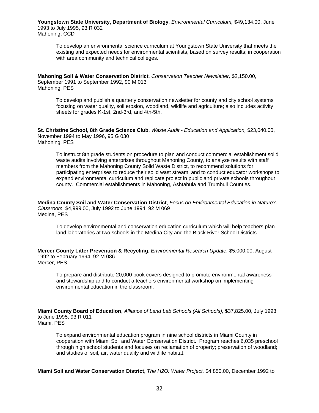**Youngstown State University, Department of Biology**, *Environmental Curriculum,* \$49,134.00, June 1993 to July 1995, 93 R 032 Mahoning, CCD

To develop an environmental science curriculum at Youngstown State University that meets the existing and expected needs for environmental scientists, based on survey results; in cooperation with area community and technical colleges.

**Mahoning Soil & Water Conservation District**, *Conservation Teacher Newsletter,* \$2,150.00, September 1991 to September 1992, 90 M 013 Mahoning, PES

To develop and publish a quarterly conservation newsletter for county and city school systems focusing on water quality, soil erosion, woodland, wildlife and agriculture; also includes activity sheets for grades K-1st, 2nd-3rd, and 4th-5th.

**St. Christine School, 8th Grade Science Club**, *Waste Audit - Education and Application,* \$23,040.00, November 1994 to May 1996, 95 G 030 Mahoning, PES

To instruct 8th grade students on procedure to plan and conduct commercial establishment solid waste audits involving enterprises throughout Mahoning County, to analyze results with staff members from the Mahoning County Solid Waste District, to recommend solutions for participating enterprises to reduce their solid wast stream, and to conduct educator workshops to expand environmental curriculum and replicate project in public and private schools throughout county. Commercial establishments in Mahoning, Ashtabula and Trumbull Counties.

**Medina County Soil and Water Conservation District**, *Focus on Environmental Education in Nature's Classroom,* \$4,999.00, July 1992 to June 1994, 92 M 069 Medina, PES

To develop environmental and conservation education curriculum which will help teachers plan land laboratories at two schools in the Medina City and the Black River School Districts.

**Mercer County Litter Prevention & Recycling**, *Environmental Research Update,* \$5,000.00, August 1992 to February 1994, 92 M 086 Mercer, PES

To prepare and distribute 20,000 book covers designed to promote environmental awareness and stewardship and to conduct a teachers environmental workshop on implementing environmental education in the classroom.

**Miami County Board of Education**, *Alliance of Land Lab Schools (All Schools),* \$37,825.00, July 1993 to June 1995, 93 R 011 Miami, PES

To expand environmental education program in nine school districts in Miami County in cooperation with Miami Soil and Water Conservation District. Program reaches 6,035 preschool through high school students and focuses on reclamation of property; preservation of woodland; and studies of soil, air, water quality and wildlife habitat.

**Miami Soil and Water Conservation District**, *The H2O: Water Project,* \$4,850.00, December 1992 to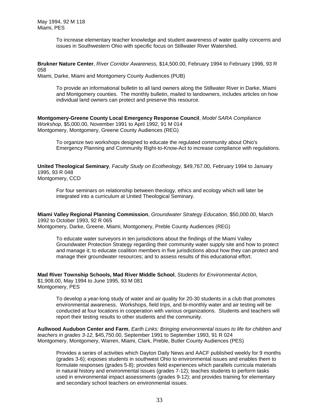To increase elementary teacher knowledge and student awareness of water quality concerns and issues in Southwestern Ohio with specific focus on Stillwater River Watershed.

**Brukner Nature Center**, *River Corridor Awareness,* \$14,500.00, February 1994 to February 1996, 93 R 058

Miami, Darke, Miami and Montgomery County Audiences (PUB)

To provide an informational bulletin to all land owners along the Stillwater River in Darke, Miami and Montgomery counties. The monthly bulletin, mailed to landowners, includes articles on how individual land owners can protect and preserve this resource.

**Montgomery-Greene County Local Emergency Response Council**, *Model SARA Compliance Workshop,* \$5,000.00, November 1991 to April 1992, 91 M 014 Montgomery, Montgomery, Greene County Audiences (REG)

To organize two workshops designed to educate the regulated community about Ohio's Emergency Planning and Community Right-to-Know-Act to increase compliance with regulations.

**United Theological Seminary**, *Faculty Study on Ecotheology,* \$49,767.00, February 1994 to January 1995, 93 R 048 Montgomery, CCD

For four seminars on relationship between theology, ethics and ecology which will later be integrated into a curriculum at United Theological Seminary.

**Miami Valley Regional Planning Commission**, *Groundwater Strategy Education,* \$50,000.00, March 1992 to October 1993, 92 R 065 Montgomery, Darke, Greene, Miami, Montgomery, Preble County Audiences (REG)

To educate water surveyors in ten jurisdictions about the findings of the Miami Valley Groundwater Protection Strategy regarding their community water supply site and how to protect and manage it; to educate coalition members in five jurisdictions about how they can protect and manage their groundwater resources; and to assess results of this educational effort.

**Mad River Township Schools, Mad River Middle School**, *Students for Environmental Action,* \$1,908.00, May 1994 to June 1995, 93 M 081 Montgomery, PES

To develop a year-long study of water and air quality for 20-30 students in a club that promotes environmental awareness. Workshops, field trips, and bi-monthly water and air testing will be conducted at four locations in cooperation with various organizations. Students and teachers will report their testing results to other students and the community.

**Aullwood Audubon Center and Farm**, *Earth Links: Bringing environmental issues to life for children and teachers in grades 3-12,* \$45,750.00, September 1991 to September 1993, 91 R 024 Montgomery, Montgomery, Warren, Miami, Clark, Preble, Butler County Audiences (PES)

Provides a series of activities which Dayton Daily News and AACF published weekly for 9 months (grades 3-6); exposes students in southwest Ohio to environmental issues and enables them to formulate responses (grades 5-8); provides field experiences which parallels curricula materials in natural history and environmental issues (grades 7-12); teaches students to perform tasks used in environmental impact assessments (grades 9-12); and provides training for elementary and secondary school teachers on environmental issues.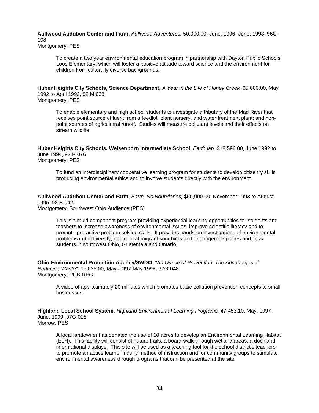**Aullwood Audubon Center and Farm**, *Aullwood Adventures,* 50,000.00, June, 1996- June, 1998, 96G-108 Montgomery, PES

To create a two year environmental education program in partnership with Dayton Public Schools Loos Elementary, which will foster a positive attitude toward science and the environment for children from culturally diverse backgrounds.

**Huber Heights City Schools, Science Department**, *A Year in the Life of Honey Creek,* \$5,000.00, May 1992 to April 1993, 92 M 033 Montgomery, PES

To enable elementary and high school students to investigate a tributary of the Mad River that receives point source effluent from a feedlot, plant nursery, and water treatment plant; and nonpoint sources of agricultural runoff. Studies will measure pollutant levels and their effects on stream wildlife.

**Huber Heights City Schools, Weisenborn Intermediate School**, *Earth lab,* \$18,596.00, June 1992 to June 1994, 92 R 076 Montgomery, PES

To fund an interdisciplinary cooperative learning program for students to develop citizenry skills producing environmental ethics and to involve students directly with the environment.

**Aullwood Audubon Center and Farm**, *Earth, No Boundaries,* \$50,000.00, November 1993 to August 1995, 93 R 042

Montgomery, Southwest Ohio Audience (PES)

This is a multi-component program providing experiential learning opportunities for students and teachers to increase awareness of environmental issues, improve scientific literacy and to promote pro-active problem solving skills. It provides hands-on investigations of environmental problems in biodiversity, neotropical migrant songbirds and endangered species and links students in southwest Ohio, Guatemala and Ontario.

**Ohio Environmental Protection Agency/SWDO**, *"An Ounce of Prevention: The Advantages of Reducing Waste",* 16,635.00, May, 1997-May 1998, 97G-048 Montgomery, PUB-REG

A video of approximately 20 minutes which promotes basic pollution prevention concepts to small businesses.

**Highland Local School System**, *Highland Environmental Learning Programs,* 47,453.10, May, 1997- June, 1999, 97G-018 Morrow, PES

A local landowner has donated the use of 10 acres to develop an Environmental Learning Habitat (ELH). This facility will consist of nature trails, a board-walk through wetland areas, a dock and informational displays. This site will be used as a teaching tool for the school district's teachers to promote an active learner inquiry method of instruction and for community groups to stimulate environmental awareness through programs that can be presented at the site.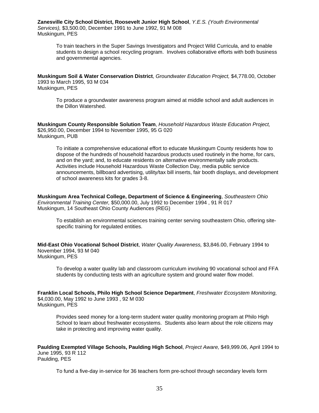**Zanesville City School District, Roosevelt Junior High School**, *Y.E.S. (Youth Environmental Services),* \$3,500.00, December 1991 to June 1992, 91 M 008 Muskingum, PES

To train teachers in the Super Savings Investigators and Project Wild Curricula, and to enable students to design a school recycling program. Involves collaborative efforts with both business and governmental agencies.

**Muskingum Soil & Water Conservation District**, *Groundwater Education Project,* \$4,778.00, October 1993 to March 1995, 93 M 034 Muskingum, PES

To produce a groundwater awareness program aimed at middle school and adult audiences in the Dillon Watershed.

**Muskingum County Responsible Solution Team**, *Household Hazardous Waste Education Project,* \$26,950.00, December 1994 to November 1995, 95 G 020 Muskingum, PUB

To initiate a comprehensive educational effort to educate Muskingum County residents how to dispose of the hundreds of household hazardous products used routinely in the home, for cars, and on the yard; and, to educate residents on alternative environmentally safe products. Activities include Household Hazardous Waste Collection Day, media public service announcements, billboard advertising, utility/tax bill inserts, fair booth displays, and development of school awareness kits for grades 3-8.

**Muskingum Area Technical College, Department of Science & Engineering**, *Southeastern Ohio Environmental Training Center,* \$50,000.00, July 1992 to December 1994 , 91 R 017 Muskingum, 14 Southeast Ohio County Audiences (REG)

To establish an environmental sciences training center serving southeastern Ohio, offering sitespecific training for regulated entities.

**Mid-East Ohio Vocational School District**, *Water Quality Awareness,* \$3,846.00, February 1994 to November 1994, 93 M 040 Muskingum, PES

To develop a water quality lab and classroom curriculum involving 90 vocational school and FFA students by conducting tests with an agriculture system and ground water flow model.

**Franklin Local Schools, Philo High School Science Department**, *Freshwater Ecosystem Monitoring,* \$4,030.00, May 1992 to June 1993 , 92 M 030 Muskingum, PES

Provides seed money for a long-term student water quality monitoring program at Philo High School to learn about freshwater ecosystems. Students also learn about the role citizens may take in protecting and improving water quality.

**Paulding Exempted Village Schools, Paulding High School**, *Project Aware,* \$49,999.06, April 1994 to June 1995, 93 R 112 Paulding, PES

To fund a five-day in-service for 36 teachers form pre-school through secondary levels form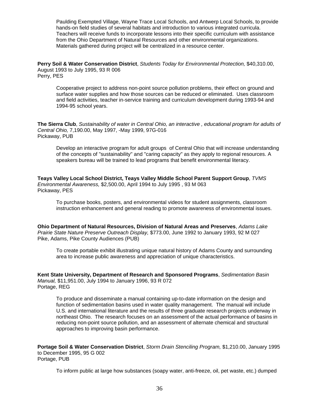Paulding Exempted Village, Wayne Trace Local Schools, and Antwerp Local Schools, to provide hands-on field studies of several habitats and introduction to various integrated curricula. Teachers will receive funds to incorporate lessons into their specific curriculum with assistance from the Ohio Department of Natural Resources and other environmental organizations. Materials gathered during project will be centralized in a resource center.

**Perry Soil & Water Conservation District**, *Students Today for Environmental Protection,* \$40,310.00, August 1993 to July 1995, 93 R 006 Perry, PES

Cooperative project to address non-point source pollution problems, their effect on ground and surface water supplies and how those sources can be reduced or eliminated. Uses classroom and field activities, teacher in-service training and curriculum development during 1993-94 and 1994-95 school years.

**The Sierra Club**, *Sustainability of water in Central Ohio, an interactive , educational program for adults of Central Ohio,* 7,190.00, May 1997, -May 1999, 97G-016 Pickaway, PUB

Develop an interactive program for adult groups of Central Ohio that will increase understanding of the concepts of "sustainability" and "caring capacity" as they apply to regional resources. A speakers bureau will be trained to lead programs that benefit environmental literacy.

**Teays Valley Local School District, Teays Valley Middle School Parent Support Group**, *TVMS Environmental Awareness,* \$2,500.00, April 1994 to July 1995 , 93 M 063 Pickaway, PES

To purchase books, posters, and environmental videos for student assignments, classroom instruction enhancement and general reading to promote awareness of environmental issues.

**Ohio Department of Natural Resources, Division of Natural Areas and Preserves**, *Adams Lake Prairie State Nature Preserve Outreach Display,* \$773.00, June 1992 to January 1993, 92 M 027 Pike, Adams, Pike County Audiences (PUB)

To create portable exhibit illustrating unique natural history of Adams County and surrounding area to increase public awareness and appreciation of unique characteristics.

**Kent State University, Department of Research and Sponsored Programs**, *Sedimentation Basin Manual,* \$11,951.00, July 1994 to January 1996, 93 R 072 Portage, REG

To produce and disseminate a manual containing up-to-date information on the design and function of sedimentation basins used in water quality management. The manual will include U.S. and international literature and the results of three graduate research projects underway in northeast Ohio. The research focuses on an assessment of the actual performance of basins in reducing non-point source pollution, and an assessment of alternate chemical and structural approaches to improving basin performance.

**Portage Soil & Water Conservation District**, *Storm Drain Stenciling Program,* \$1,210.00, January 1995 to December 1995, 95 G 002 Portage, PUB

To inform public at large how substances (soapy water, anti-freeze, oil, pet waste, etc.) dumped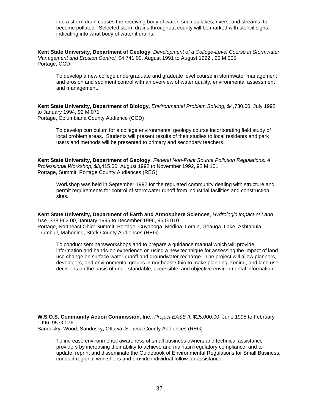into a storm drain causes the receiving body of water, such as lakes, rivers, and streams, to become polluted. Selected storm drains throughout county will be marked with stencil signs indicating into what body of water it drains.

**Kent State University, Department of Geology**, *Development of a College-Level Course in Stormwater Management and Erosion Control,* \$4,741.00, August 1991 to August 1992 , 90 M 005 Portage, CCD

To develop a new college undergraduate and graduate level course in stormwater management and erosion and sediment control with an overview of water quality, environmental assessment and management.

**Kent State University, Department of Biology**, *Environmental Problem Solving,* \$4,730.00, July 1992 to January 1994, 92 M 071

Portage, Columbiana County Audience (CCD)

To develop curriculum for a college environmental geology course incorporating field study of local problem areas. Students will present results of their studies to local residents and park users and methods will be presented to primary and secondary teachers.

**Kent State University, Department of Geology**, *Federal Non-Point Source Pollution Regulations: A Professional Workshop,* \$3,415.00, August 1992 to November 1992, 92 M 101 Portage, Summit, Portage County Audiences (REG)

Workshop was held in September 1992 for the regulated community dealing with structure and permit requirements for control of stormwater runoff from industrial facilities and construction sites.

**Kent State University, Department of Earth and Atmosphere Sciences**, *Hydrologic Impact of Land Use,* \$38,962.00, January 1995 to December 1996, 95 G 010 Portage, Northeast Ohio: Summit, Portage, Cuyahoga, Medina, Lorain, Geauga, Lake, Ashtabula, Trumbull, Mahoning, Stark County Audiences (REG)

To conduct seminars/workshops and to prepare a guidance manual which will provide information and hands-on experience on using a new technique for assessing the impact of land use change on surface water runoff and groundwater recharge. The project will allow planners, developers, and environmental groups in northeast Ohio to make planning, zoning, and land use decisions on the basis of understandable, accessible, and objective environmental information.

**W.S.O.S. Community Action Commission, Inc.**, *Project EASE II,* \$25,000.00, June 1995 to February 1996, 95 G 076 Sandusky, Wood, Sandusky, Ottawa, Seneca County Audiences (REG)

To increase environmental awareness of small business owners and technical assistance providers by increasing their ability to achieve and maintain regulatory compliance, and to update, reprint and disseminate the Guidebook of Environmental Regulations for Small Business, conduct regional workshops and provide individual follow-up assistance.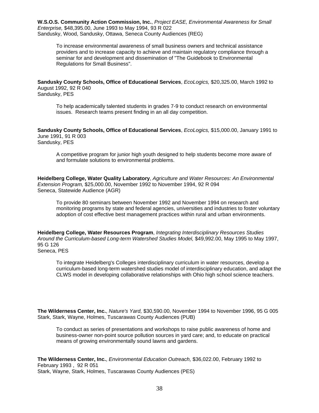**W.S.O.S. Community Action Commission, Inc.**, *Project EASE, Environmental Awareness for Small Enterprise,* \$48,395.00, June 1993 to May 1994, 93 R 022 Sandusky, Wood, Sandusky, Ottawa, Seneca County Audiences (REG)

To increase environmental awareness of small business owners and technical assistance providers and to increase capacity to achieve and maintain regulatory compliance through a seminar for and development and dissemination of "The Guidebook to Environmental Regulations for Small Business".

**Sandusky County Schools, Office of Educational Services**, *EcoLogics,* \$20,325.00, March 1992 to August 1992, 92 R 040 Sandusky, PES

To help academically talented students in grades 7-9 to conduct research on environmental issues. Research teams present finding in an all day competition.

**Sandusky County Schools, Office of Educational Services**, *EcoLogics,* \$15,000.00, January 1991 to June 1991, 91 R 003 Sandusky, PES

A competitive program for junior high youth designed to help students become more aware of and formulate solutions to environmental problems.

**Heidelberg College, Water Quality Laboratory**, *Agriculture and Water Resources: An Environmental Extension Program,* \$25,000.00, November 1992 to November 1994, 92 R 094 Seneca, Statewide Audience (AGR)

To provide 80 seminars between November 1992 and November 1994 on research and monitoring programs by state and federal agencies, universities and industries to foster voluntary adoption of cost effective best management practices within rural and urban environments.

**Heidelberg College, Water Resources Program**, *Integrating Interdisciplinary Resources Studies Around the Curriculum-based Long-term Watershed Studies Model,* \$49,992.00, May 1995 to May 1997, 95 G 126

Seneca, PES

To integrate Heidelberg's Colleges interdisciplinary curriculum in water resources, develop a curriculum-based long-term watershed studies model of interdisciplinary education, and adapt the CLWS model in developing collaborative relationships with Ohio high school science teachers.

**The Wilderness Center, Inc.**, *Nature's Yard,* \$30,590.00, November 1994 to November 1996, 95 G 005 Stark, Stark, Wayne, Holmes, Tuscarawas County Audiences (PUB)

To conduct as series of presentations and workshops to raise public awareness of home and business-owner non-point source pollution sources in yard care; and, to educate on practical means of growing environmentally sound lawns and gardens.

**The Wilderness Center, Inc.**, *Environmental Education Outreach,* \$36,022.00, February 1992 to February 1993 , 92 R 051 Stark, Wayne, Stark, Holmes, Tuscarawas County Audiences (PES)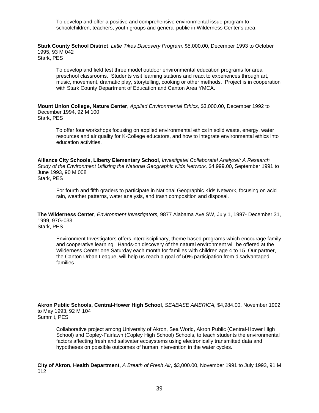To develop and offer a positive and comprehensive environmental issue program to schoolchildren, teachers, youth groups and general public in Wilderness Center's area.

**Stark County School District**, *Little Tikes Discovery Program,* \$5,000.00, December 1993 to October 1995, 93 M 042 Stark, PES

To develop and field test three model outdoor environmental education programs for area preschool classrooms. Students visit learning stations and react to experiences through art, music, movement, dramatic play, storytelling, cooking or other methods. Project is in cooperation with Stark County Department of Education and Canton Area YMCA.

**Mount Union College, Nature Center**, *Applied Environmental Ethics,* \$3,000.00, December 1992 to December 1994, 92 M 100 Stark, PES

To offer four workshops focusing on applied environmental ethics in solid waste, energy, water resources and air quality for K-College educators, and how to integrate environmental ethics into education activities.

**Alliance City Schools, Liberty Elementary School**, *Investigate! Collaborate! Analyze!: A Research Study of the Environment Utilizing the National Geographic Kids Network,* \$4,999.00, September 1991 to June 1993, 90 M 008 Stark, PES

For fourth and fifth graders to participate in National Geographic Kids Network, focusing on acid rain, weather patterns, water analysis, and trash composition and disposal.

**The Wilderness Center**, *Environment Investigators,* 9877 Alabama Ave SW, July 1, 1997- December 31, 1999, 97G-033 Stark, PES

Environment Investigators offers interdisciplinary, theme based programs which encourage family and cooperative learning. Hands-on discovery of the natural environment will be offered at the Wilderness Center one Saturday each month for families with children age 4 to 15. Our partner, the Canton Urban League, will help us reach a goal of 50% participation from disadvantaged families.

**Akron Public Schools, Central-Hower High School**, *SEABASE AMERICA,* \$4,984.00, November 1992 to May 1993, 92 M 104 Summit, PES

Collaborative project among University of Akron, Sea World, Akron Public (Central-Hower High School) and Copley-Fairlawn (Copley High School) Schools, to teach students the environmental factors affecting fresh and saltwater ecosystems using electronically transmitted data and hypotheses on possible outcomes of human intervention in the water cycles.

**City of Akron, Health Department**, *A Breath of Fresh Air,* \$3,000.00, November 1991 to July 1993, 91 M 012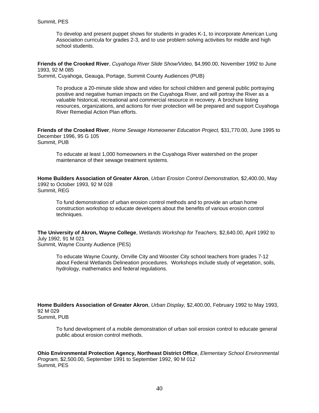To develop and present puppet shows for students in grades K-1, to incorporate American Lung Association curricula for grades 2-3, and to use problem solving activities for middle and high school students.

**Friends of the Crooked River**, *Cuyahoga River Slide Show/Video,* \$4,990.00, November 1992 to June 1993, 92 M 085

Summit, Cuyahoga, Geauga, Portage, Summit County Audiences (PUB)

To produce a 20-minute slide show and video for school children and general public portraying positive and negative human impacts on the Cuyahoga River, and will portray the River as a valuable historical, recreational and commercial resource in recovery. A brochure listing resources, organizations, and actions for river protection will be prepared and support Cuyahoga River Remedial Action Plan efforts.

**Friends of the Crooked River**, *Home Sewage Homeowner Education Project,* \$31,770.00, June 1995 to December 1996, 95 G 105 Summit, PUB

To educate at least 1,000 homeowners in the Cuyahoga River watershed on the proper maintenance of their sewage treatment systems.

**Home Builders Association of Greater Akron**, *Urban Erosion Control Demonstration,* \$2,400.00, May 1992 to October 1993, 92 M 028 Summit, REG

To fund demonstration of urban erosion control methods and to provide an urban home construction workshop to educate developers about the benefits of various erosion control techniques.

**The University of Akron, Wayne College**, *Wetlands Workshop for Teachers,* \$2,640.00, April 1992 to July 1992, 91 M 021 Summit, Wayne County Audience (PES)

To educate Wayne County, Orrville City and Wooster City school teachers from grades 7-12 about Federal Wetlands Delineation procedures. Workshops include study of vegetation, soils, hydrology, mathematics and federal regulations.

**Home Builders Association of Greater Akron**, *Urban Display,* \$2,400.00, February 1992 to May 1993, 92 M 029 Summit, PUB

To fund development of a mobile demonstration of urban soil erosion control to educate general public about erosion control methods.

**Ohio Environmental Protection Agency, Northeast District Office**, *Elementary School Environmental Program,* \$2,500.00, September 1991 to September 1992, 90 M 012 Summit, PES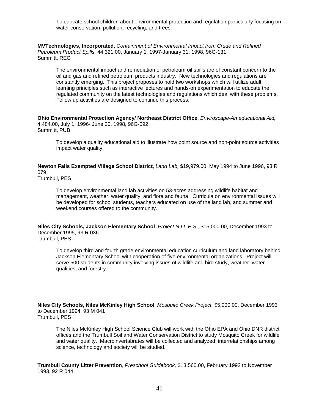To educate school children about environmental protection and regulation particularly focusing on water conservation, pollution, recycling, and trees.

**MVTechnologies, Incorporated**, *Containment of Environmental Impact from Crude and Refined Petroleum Product Spills,* 44,321.00, January 1, 1997-January 31, 1998, 96G-131 Summitt, REG

The environmental impact and remediation of petroleum oil spills are of constant concern to the oil and gas and refined petroleum products industry. New technologies and regulations are constantly emerging. This project proposes to hold two workshops which will utilize adult learning principles such as interactive lectures and hands-on experimentation to educate the regulated community on the latest technologies and regulations which deal with these problems. Follow up activities are designed to continue this process.

**Ohio Environmental Protection Agency/ Northeast District Office**, *Enviroscape-An educational Aid,* 4,484.00, July 1, 1996- June 30, 1998, 96G-092 Summitt, PUB

To develop a quality educational aid to illustrate how point source and non-point source activities impact water quality.

**Newton Falls Exempted Village School District**, *Land Lab,* \$19,979.00, May 1994 to June 1996, 93 R 079

Trumbull, PES

To develop environmental land lab activities on 53-acres addressing wildlife habitat and management, weather, water quality, and flora and fauna. Curricula on environmental issues will be developed for school students, teachers educated on use of the land lab, and summer and weekend courses offered to the community.

**Niles City Schools, Jackson Elementary School**, *Project N.I.L.E.S.,* \$15,000.00, December 1993 to December 1995, 93 R 036 Trumbull, PES

To develop third and fourth grade environmental education curriculum and land laboratory behind Jackson Elementary School with cooperation of five environmental organizations. Project will serve 500 students in community involving issues of wildlife and bird study, weather, water qualities, and forestry.

**Niles City Schools, Niles McKinley High School**, *Mosquito Creek Project,* \$5,000.00, December 1993 to December 1994, 93 M 041 Trumbull, PES

The Niles McKinley High School Science Club will work with the Ohio EPA and Ohio DNR district offices and the Trumbull Soil and Water Conservation District to study Mosquito Creek for wildlife and water quality. Macroinvertabrates will be collected and analyzed; interrelationships among science, technology and society will be studied.

**Trumbull County Litter Prevention**, *Preschool Guidebook,* \$13,560.00, February 1992 to November 1993, 92 R 044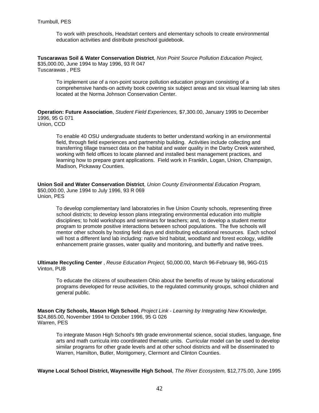To work with preschools, Headstart centers and elementary schools to create environmental education activities and distribute preschool guidebook.

**Tuscarawas Soil & Water Conservation District**, *Non Point Source Pollution Education Project,* \$35,000.00, June 1994 to May 1996, 93 R 047 Tuscarawas , PES

To implement use of a non-point source pollution education program consisting of a comprehensive hands-on activity book covering six subject areas and six visual learning lab sites located at the Norma Johnson Conservation Center.

**Operation: Future Association**, *Student Field Experiences,* \$7,300.00, January 1995 to December 1996, 95 G 071

Union, CCD

To enable 40 OSU undergraduate students to better understand working in an environmental field, through field experiences and partnership building. Activities include collecting and transferring tillage transect data on the habitat and water quality in the Darby Creek watershed, working with field offices to locate planned and installed best management practices, and learning how to prepare grant applications. Field work in Franklin, Logan, Union, Champaign, Madison, Pickaway Counties.

**Union Soil and Water Conservation District**, *Union County Environmental Education Program,* \$50,000.00, June 1994 to July 1996, 93 R 069 Union, PES

To develop complementary land laboratories in five Union County schools, representing three school districts; to develop lesson plans integrating environmental education into multiple disciplines; to hold workshops and seminars for teachers; and, to develop a student mentor program to promote positive interactions between school populations. The five schools will mentor other schools by hosting field days and distributing educational resources. Each school will host a different land lab including: native bird habitat, woodland and forest ecology, wildlife enhancement prairie grasses, water quality and monitoring, and butterfly and native trees.

**Ultimate Recycling Center** , *Reuse Education Project,* 50,000.00, March 96-February 98, 96G-015 Vinton, PUB

To educate the citizens of southeastern Ohio about the benefits of reuse by taking educational programs developed for reuse activities, to the regulated community groups, school children and general public.

**Mason City Schools, Mason High School**, *Project Link - Learning by Integrating New Knowledge,* \$24,865.00, November 1994 to October 1996, 95 G 026 Warren, PES

To integrate Mason High School's 9th grade environmental science, social studies, language, fine arts and math curricula into coordinated thematic units. Curricular model can be used to develop similar programs for other grade levels and at other school districts and will be disseminated to Warren, Hamilton, Butler, Montgomery, Clermont and Clinton Counties.

**Wayne Local School District, Waynesville High School**, *The River Ecosystem,* \$12,775.00, June 1995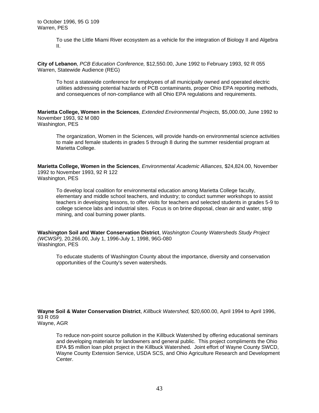To use the Little Miami River ecosystem as a vehicle for the integration of Biology II and Algebra II.

**City of Lebanon**, *PCB Education Conference,* \$12,550.00, June 1992 to February 1993, 92 R 055 Warren, Statewide Audience (REG)

To host a statewide conference for employees of all municipally owned and operated electric utilities addressing potential hazards of PCB contaminants, proper Ohio EPA reporting methods, and consequences of non-compliance with all Ohio EPA regulations and requirements.

**Marietta College, Women in the Sciences**, *Extended Environmental Projects,* \$5,000.00, June 1992 to November 1993, 92 M 080 Washington, PES

The organization, Women in the Sciences, will provide hands-on environmental science activities to male and female students in grades 5 through 8 during the summer residential program at Marietta College.

**Marietta College, Women in the Sciences**, *Environmental Academic Alliances,* \$24,824.00, November 1992 to November 1993, 92 R 122 Washington, PES

To develop local coalition for environmental education among Marietta College faculty, elementary and middle school teachers, and industry; to conduct summer workshops to assist teachers in developing lessons, to offer visits for teachers and selected students in grades 5-9 to college science labs and industrial sites. Focus is on brine disposal, clean air and water, strip mining, and coal burning power plants.

**Washington Soil and Water Conservation District**, *Washington County Watersheds Study Project (WCWSP),* 20,266.00, July 1, 1996-July 1, 1998, 96G-080 Washington, PES

To educate students of Washington County about the importance, diversity and conservation opportunities of the County's seven watersheds.

**Wayne Soil & Water Conservation District**, *Killbuck Watershed,* \$20,600.00, April 1994 to April 1996, 93 R 059 Wayne, AGR

To reduce non-point source pollution in the Killbuck Watershed by offering educational seminars and developing materials for landowners and general public. This project compliments the Ohio EPA \$5 million loan pilot project in the Killbuck Watershed. Joint effort of Wayne County SWCD, Wayne County Extension Service, USDA SCS, and Ohio Agriculture Research and Development Center.